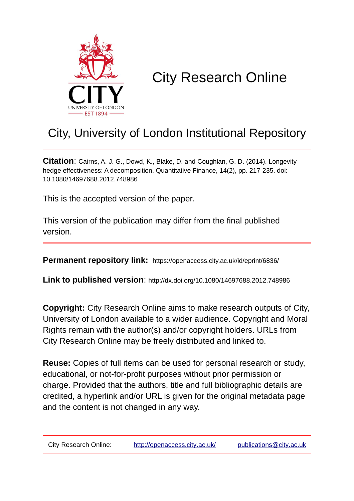

# City Research Online

# City, University of London Institutional Repository

**Citation**: Cairns, A. J. G., Dowd, K., Blake, D. and Coughlan, G. D. (2014). Longevity hedge effectiveness: A decomposition. Quantitative Finance, 14(2), pp. 217-235. doi: 10.1080/14697688.2012.748986

This is the accepted version of the paper.

This version of the publication may differ from the final published version.

**Permanent repository link:** https://openaccess.city.ac.uk/id/eprint/6836/

**Link to published version**: http://dx.doi.org/10.1080/14697688.2012.748986

**Copyright:** City Research Online aims to make research outputs of City, University of London available to a wider audience. Copyright and Moral Rights remain with the author(s) and/or copyright holders. URLs from City Research Online may be freely distributed and linked to.

**Reuse:** Copies of full items can be used for personal research or study, educational, or not-for-profit purposes without prior permission or charge. Provided that the authors, title and full bibliographic details are credited, a hyperlink and/or URL is given for the original metadata page and the content is not changed in any way.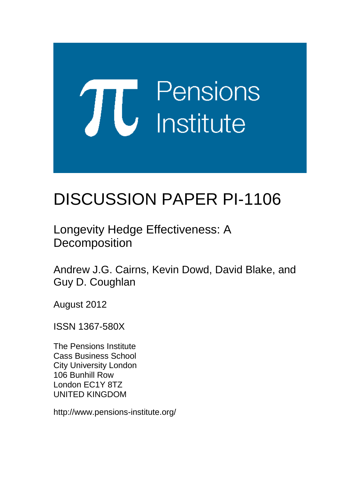# **TU** Pensions<br> **U** Institute

# DISCUSSION PAPER PI-1106

Longevity Hedge Effectiveness: A Decomposition

Andrew J.G. Cairns, Kevin Dowd, David Blake, and Guy D. Coughlan

August 2012

ISSN 1367-580X

The Pensions Institute Cass Business School City University London 106 Bunhill Row London EC1Y 8TZ UNITED KINGDOM

http://www.pensions-institute.org/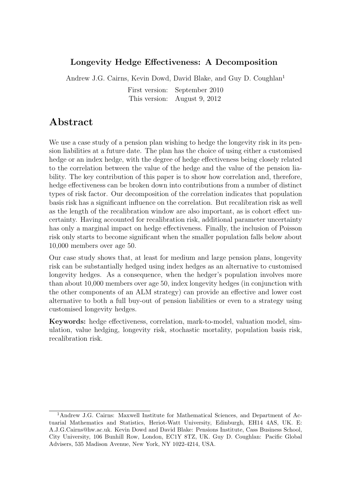#### **Longevity Hedge Effectiveness: A Decomposition**

Andrew J.G. Cairns, Kevin Dowd, David Blake, and Guy D. Coughlan<sup>1</sup>

First version: September 2010 This version: August 9, 2012

# **Abstract**

We use a case study of a pension plan wishing to hedge the longevity risk in its pension liabilities at a future date. The plan has the choice of using either a customised hedge or an index hedge, with the degree of hedge effectiveness being closely related to the correlation between the value of the hedge and the value of the pension liability. The key contribution of this paper is to show how correlation and, therefore, hedge effectiveness can be broken down into contributions from a number of distinct types of risk factor. Our decomposition of the correlation indicates that population basis risk has a significant influence on the correlation. But recalibration risk as well as the length of the recalibration window are also important, as is cohort effect uncertainty. Having accounted for recalibration risk, additional parameter uncertainty has only a marginal impact on hedge effectiveness. Finally, the inclusion of Poisson risk only starts to become significant when the smaller population falls below about 10,000 members over age 50.

Our case study shows that, at least for medium and large pension plans, longevity risk can be substantially hedged using index hedges as an alternative to customised longevity hedges. As a consequence, when the hedger's population involves more than about 10,000 members over age 50, index longevity hedges (in conjunction with the other components of an ALM strategy) can provide an effective and lower cost alternative to both a full buy-out of pension liabilities or even to a strategy using customised longevity hedges.

**Keywords:** hedge effectiveness, correlation, mark-to-model, valuation model, simulation, value hedging, longevity risk, stochastic mortality, population basis risk, recalibration risk.

<sup>&</sup>lt;sup>1</sup>Andrew J.G. Cairns: Maxwell Institute for Mathematical Sciences, and Department of Actuarial Mathematics and Statistics, Heriot-Watt University, Edinburgh, EH14 4AS, UK. E: A.J.G.Cairns@hw.ac.uk. Kevin Dowd and David Blake: Pensions Institute, Cass Business School, City University, 106 Bunhill Row, London, EC1Y 8TZ, UK. Guy D. Coughlan: Pacific Global Advisers, 535 Madison Avenue, New York, NY 1022-4214, USA.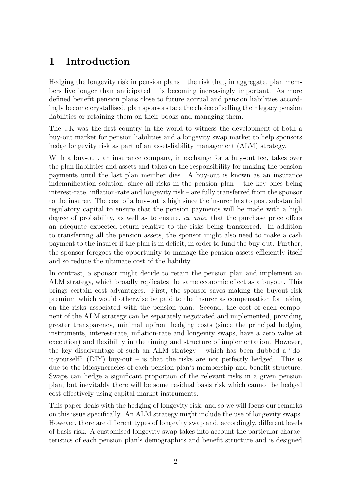# **1 Introduction**

Hedging the longevity risk in pension plans – the risk that, in aggregate, plan members live longer than anticipated – is becoming increasingly important. As more defined benefit pension plans close to future accrual and pension liabilities accordingly become crystallised, plan sponsors face the choice of selling their legacy pension liabilities or retaining them on their books and managing them.

The UK was the first country in the world to witness the development of both a buy-out market for pension liabilities and a longevity swap market to help sponsors hedge longevity risk as part of an asset-liability management (ALM) strategy.

With a buy-out, an insurance company, in exchange for a buy-out fee, takes over the plan liabilities and assets and takes on the responsibility for making the pension payments until the last plan member dies. A buy-out is known as an insurance indemnification solution, since all risks in the pension plan – the key ones being interest-rate, inflation-rate and longevity risk – are fully transferred from the sponsor to the insurer. The cost of a buy-out is high since the insurer has to post substantial regulatory capital to ensure that the pension payments will be made with a high degree of probability, as well as to ensure, *ex ante*, that the purchase price offers an adequate expected return relative to the risks being transferred. In addition to transferring all the pension assets, the sponsor might also need to make a cash payment to the insurer if the plan is in deficit, in order to fund the buy-out. Further, the sponsor foregoes the opportunity to manage the pension assets efficiently itself and so reduce the ultimate cost of the liability.

In contrast, a sponsor might decide to retain the pension plan and implement an ALM strategy, which broadly replicates the same economic effect as a buyout. This brings certain cost advantages. First, the sponsor saves making the buyout risk premium which would otherwise be paid to the insurer as compensation for taking on the risks associated with the pension plan. Second, the cost of each component of the ALM strategy can be separately negotiated and implemented, providing greater transparency, minimal upfront hedging costs (since the principal hedging instruments, interest-rate, inflation-rate and longevity swaps, have a zero value at execution) and flexibility in the timing and structure of implementation. However, the key disadvantage of such an ALM strategy – which has been dubbed a "doit-yourself" (DIY) buy-out – is that the risks are not perfectly hedged. This is due to the idiosyncracies of each pension plan's membership and benefit structure. Swaps can hedge a significant proportion of the relevant risks in a given pension plan, but inevitably there will be some residual basis risk which cannot be hedged cost-effectively using capital market instruments.

This paper deals with the hedging of longevity risk, and so we will focus our remarks on this issue specifically. An ALM strategy might include the use of longevity swaps. However, there are different types of longevity swap and, accordingly, different levels of basis risk. A customised longevity swap takes into account the particular characteristics of each pension plan's demographics and benefit structure and is designed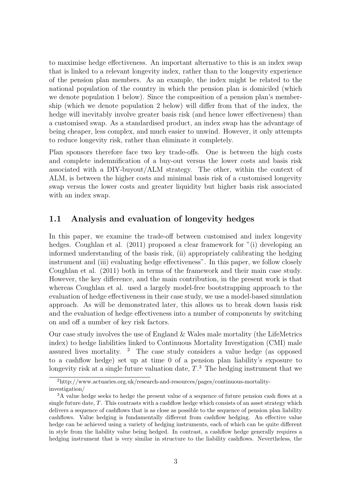to maximise hedge effectiveness. An important alternative to this is an index swap that is linked to a relevant longevity index, rather than to the longevity experience of the pension plan members. As an example, the index might be related to the national population of the country in which the pension plan is domiciled (which we denote population 1 below). Since the composition of a pension plan's membership (which we denote population 2 below) will differ from that of the index, the hedge will inevitably involve greater basis risk (and hence lower effectiveness) than a customised swap. As a standardised product, an index swap has the advantage of being cheaper, less complex, and much easier to unwind. However, it only attempts to reduce longevity risk, rather than eliminate it completely.

Plan sponsors therefore face two key trade-offs. One is between the high costs and complete indemnification of a buy-out versus the lower costs and basis risk associated with a DIY-buyout/ALM strategy. The other, within the context of ALM, is between the higher costs and minimal basis risk of a customised longevity swap versus the lower costs and greater liquidity but higher basis risk associated with an index swap.

#### **1.1 Analysis and evaluation of longevity hedges**

In this paper, we examine the trade-off between customised and index longevity hedges. Coughlan et al. (2011) proposed a clear framework for "(i) developing an informed understanding of the basis risk, (ii) appropriately calibrating the hedging instrument and (iii) evaluating hedge effectiveness". In this paper, we follow closely Coughlan et al. (2011) both in terms of the framework and their main case study. However, the key difference, and the main contribution, in the present work is that whereas Coughlan et al. used a largely model-free bootstrapping approach to the evaluation of hedge effectiveness in their case study, we use a model-based simulation approach. As will be demonstrated later, this allows us to break down basis risk and the evaluation of hedge effectiveness into a number of components by switching on and off a number of key risk factors.

Our case study involves the use of England & Wales male mortality (the LifeMetrics index) to hedge liabilities linked to Continuous Mortality Investigation (CMI) male assured lives mortality. <sup>2</sup> The case study considers a value hedge (as opposed to a cashflow hedge) set up at time 0 of a pension plan liability's exposure to longevity risk at a single future valuation date, *T*. <sup>3</sup> The hedging instrument that we

<sup>2</sup>http://www.actuaries.org.uk/research-and-resources/pages/continuous-mortalityinvestigation/

<sup>&</sup>lt;sup>3</sup>A value hedge seeks to hedge the present value of a sequence of future pension cash flows at a single future date, *T*. This contrasts with a cashflow hedge which consists of an asset strategy which delivers a sequence of cashflows that is as close as possible to the sequence of pension plan liability cashflows. Value hedging is fundamentally different from cashflow hedging. An effective value hedge can be achieved using a variety of hedging instruments, each of which can be quite different in style from the liability value being hedged. In contrast, a cashflow hedge generally requires a hedging instrument that is very similar in structure to the liability cashflows. Nevertheless, the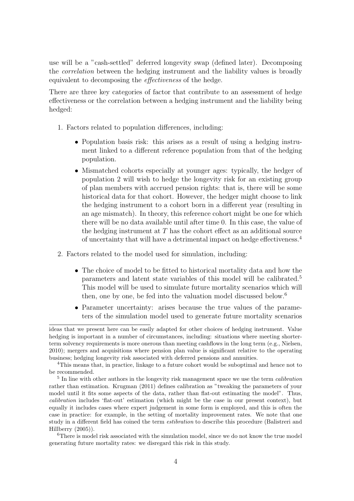use will be a "cash-settled" deferred longevity swap (defined later). Decomposing the *correlation* between the hedging instrument and the liability values is broadly equivalent to decomposing the *effectiveness* of the hedge.

There are three key categories of factor that contribute to an assessment of hedge effectiveness or the correlation between a hedging instrument and the liability being hedged:

- 1. Factors related to population differences, including:
	- *•* Population basis risk: this arises as a result of using a hedging instrument linked to a different reference population from that of the hedging population.
	- Mismatched cohorts especially at younger ages: typically, the hedger of population 2 will wish to hedge the longevity risk for an existing group of plan members with accrued pension rights: that is, there will be some historical data for that cohort. However, the hedger might choose to link the hedging instrument to a cohort born in a different year (resulting in an age mismatch). In theory, this reference cohort might be one for which there will be no data available until after time 0. In this case, the value of the hedging instrument at *T* has the cohort effect as an additional source of uncertainty that will have a detrimental impact on hedge effectiveness.<sup>4</sup>
- 2. Factors related to the model used for simulation, including:
	- The choice of model to be fitted to historical mortality data and how the parameters and latent state variables of this model will be calibrated.<sup>5</sup> This model will be used to simulate future mortality scenarios which will then, one by one, be fed into the valuation model discussed below.<sup>6</sup>
	- Parameter uncertainty: arises because the true values of the parameters of the simulation model used to generate future mortality scenarios

ideas that we present here can be easily adapted for other choices of hedging instrument. Value hedging is important in a number of circumstances, including: situations where meeting shorterterm solvency requirements is more onerous than meeting cashflows in the long term (e.g., Nielsen, 2010); mergers and acquisitions where pension plan value is significant relative to the operating business; hedging longevity risk associated with deferred pensions and annuities.

<sup>4</sup>This means that, in practice, linkage to a future cohort would be suboptimal and hence not to be recommended.

<sup>5</sup> In line with other authors in the longevity risk management space we use the term *calibration* rather than estimation. Krugman (2011) defines calibration as "tweaking the parameters of your model until it fits some aspects of the data, rather than flat-out estimating the model". Thus, *calibration* includes 'flat-out' estimation (which might be the case in our present context), but equally it includes cases where expert judgement in some form is employed, and this is often the case in practice: for example, in the setting of mortality improvement rates. We note that one study in a different field has coined the term *estibration* to describe this procedure (Balistreri and Hillberry (2005)).

<sup>&</sup>lt;sup>6</sup>There is model risk associated with the simulation model, since we do not know the true model generating future mortality rates: we disregard this risk in this study.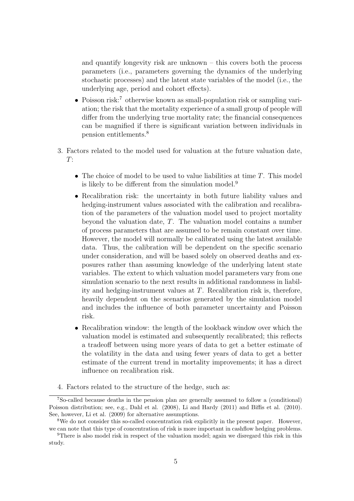and quantify longevity risk are unknown  $-$  this covers both the process parameters (i.e., parameters governing the dynamics of the underlying stochastic processes) and the latent state variables of the model (i.e., the underlying age, period and cohort effects).

- Poisson risk:<sup>7</sup> otherwise known as small-population risk or sampling variation; the risk that the mortality experience of a small group of people will differ from the underlying true mortality rate; the financial consequences can be magnified if there is significant variation between individuals in pension entitlements.<sup>8</sup>
- 3. Factors related to the model used for valuation at the future valuation date, *T*:
	- *•* The choice of model to be used to value liabilities at time *T*. This model is likely to be different from the simulation model.<sup>9</sup>
	- Recalibration risk: the uncertainty in both future liability values and hedging-instrument values associated with the calibration and recalibration of the parameters of the valuation model used to project mortality beyond the valuation date, *T*. The valuation model contains a number of process parameters that are assumed to be remain constant over time. However, the model will normally be calibrated using the latest available data. Thus, the calibration will be dependent on the specific scenario under consideration, and will be based solely on observed deaths and exposures rather than assuming knowledge of the underlying latent state variables. The extent to which valuation model parameters vary from one simulation scenario to the next results in additional randomness in liability and hedging-instrument values at *T*. Recalibration risk is, therefore, heavily dependent on the scenarios generated by the simulation model and includes the influence of both parameter uncertainty and Poisson risk.
	- *•* Recalibration window: the length of the lookback window over which the valuation model is estimated and subsequently recalibrated; this reflects a tradeoff between using more years of data to get a better estimate of the volatility in the data and using fewer years of data to get a better estimate of the current trend in mortality improvements; it has a direct influence on recalibration risk.
- 4. Factors related to the structure of the hedge, such as:

<sup>7</sup>So-called because deaths in the pension plan are generally assumed to follow a (conditional) Poisson distribution; see, e.g., Dahl et al. (2008), Li and Hardy (2011) and Biffis et al. (2010). See, however, Li et al. (2009) for alternative assumptions.

<sup>&</sup>lt;sup>8</sup>We do not consider this so-called concentration risk explicitly in the present paper. However, we can note that this type of concentration of risk is more important in cashflow hedging problems.

<sup>9</sup>There is also model risk in respect of the valuation model; again we disregard this risk in this study.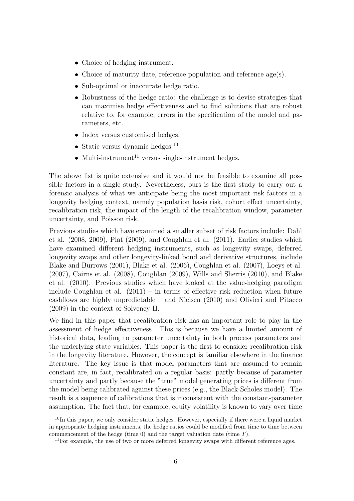- Choice of hedging instrument.
- Choice of maturity date, reference population and reference age(s).
- Sub-optimal or inaccurate hedge ratio.
- Robustness of the hedge ratio: the challenge is to devise strategies that can maximise hedge effectiveness and to find solutions that are robust relative to, for example, errors in the specification of the model and parameters, etc.
- Index versus customised hedges.
- Static versus dynamic hedges.<sup>10</sup>
- Multi-instrument<sup>11</sup> versus single-instrument hedges.

The above list is quite extensive and it would not be feasible to examine all possible factors in a single study. Nevertheless, ours is the first study to carry out a forensic analysis of what we anticipate being the most important risk factors in a longevity hedging context, namely population basis risk, cohort effect uncertainty, recalibration risk, the impact of the length of the recalibration window, parameter uncertainty, and Poisson risk.

Previous studies which have examined a smaller subset of risk factors include: Dahl et al. (2008, 2009), Plat (2009), and Coughlan et al. (2011). Earlier studies which have examined different hedging instruments, such as longevity swaps, deferred longevity swaps and other longevity-linked bond and derivative structures, include Blake and Burrows (2001), Blake et al. (2006), Coughlan et al. (2007), Loeys et al. (2007), Cairns et al. (2008), Coughlan (2009), Wills and Sherris (2010), and Blake et al. (2010). Previous studies which have looked at the value-hedging paradigm include Coughlan et al.  $(2011)$  – in terms of effective risk reduction when future cashflows are highly unpredictable – and Nielsen (2010) and Olivieri and Pitacco (2009) in the context of Solvency II.

We find in this paper that recalibration risk has an important role to play in the assessment of hedge effectiveness. This is because we have a limited amount of historical data, leading to parameter uncertainty in both process parameters and the underlying state variables. This paper is the first to consider recalibration risk in the longevity literature. However, the concept is familiar elsewhere in the finance literature. The key issue is that model parameters that are assumed to remain constant are, in fact, recalibrated on a regular basis: partly because of parameter uncertainty and partly because the "true" model generating prices is different from the model being calibrated against these prices (e.g., the Black-Scholes model). The result is a sequence of calibrations that is inconsistent with the constant-parameter assumption. The fact that, for example, equity volatility is known to vary over time

<sup>&</sup>lt;sup>10</sup>In this paper, we only consider static hedges. However, especially if there were a liquid market in appropriate hedging instruments, the hedge ratios could be modified from time to time between commencement of the hedge (time 0) and the target valuation date (time *T*).

 $11$  For example, the use of two or more deferred longevity swaps with different reference ages.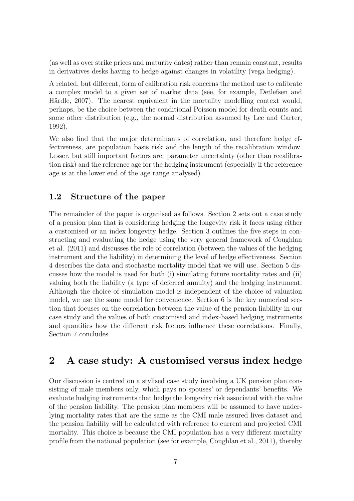(as well as over strike prices and maturity dates) rather than remain constant, results in derivatives desks having to hedge against changes in volatility (vega hedging).

A related, but different, form of calibration risk concerns the method use to calibrate a complex model to a given set of market data (see, for example, Detlefsen and Härdle, 2007). The nearest equivalent in the mortality modelling context would, perhaps, be the choice between the conditional Poisson model for death counts and some other distribution (e.g., the normal distribution assumed by Lee and Carter, 1992).

We also find that the major determinants of correlation, and therefore hedge effectiveness, are population basis risk and the length of the recalibration window. Lesser, but still important factors are: parameter uncertainty (other than recalibration risk) and the reference age for the hedging instrument (especially if the reference age is at the lower end of the age range analysed).

#### **1.2 Structure of the paper**

The remainder of the paper is organised as follows. Section 2 sets out a case study of a pension plan that is considering hedging the longevity risk it faces using either a customised or an index longevity hedge. Section 3 outlines the five steps in constructing and evaluating the hedge using the very general framework of Coughlan et al. (2011) and discusses the role of correlation (between the values of the hedging instrument and the liability) in determining the level of hedge effectiveness. Section 4 describes the data and stochastic mortality model that we will use. Section 5 discusses how the model is used for both (i) simulating future mortality rates and (ii) valuing both the liability (a type of deferred annuity) and the hedging instrument. Although the choice of simulation model is independent of the choice of valuation model, we use the same model for convenience. Section 6 is the key numerical section that focuses on the correlation between the value of the pension liability in our case study and the values of both customised and index-based hedging instruments and quantifies how the different risk factors influence these correlations. Finally, Section 7 concludes.

## **2 A case study: A customised versus index hedge**

Our discussion is centred on a stylised case study involving a UK pension plan consisting of male members only, which pays no spouses' or dependants' benefits. We evaluate hedging instruments that hedge the longevity risk associated with the value of the pension liability. The pension plan members will be assumed to have underlying mortality rates that are the same as the CMI male assured lives dataset and the pension liability will be calculated with reference to current and projected CMI mortality. This choice is because the CMI population has a very different mortality profile from the national population (see for example, Coughlan et al., 2011), thereby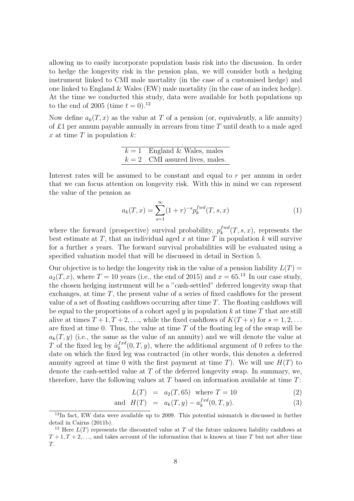allowing us to easily incorporate population basis risk into the discussion. In order to hedge the longevity risk in the pension plan, we will consider both a hedging instrument linked to CMI male mortality (in the case of a customised hedge) and one linked to England & Wales (EW) male mortality (in the case of an index hedge). At the time we conducted this study, data were available for both populations up to the end of 2005 (time  $t = 0$ ).<sup>12</sup>

Now define  $a_k(T, x)$  as the value at T of a pension (or, equivalently, a life annuity) of £1 per annum payable annually in arrears from time *T* until death to a male aged *x* at time *T* in population *k*:

$$
k = 1
$$
 England & Wales, males  
 $k = 2$  CMI assured lives, males.

Interest rates will be assumed to be constant and equal to *r* per annum in order that we can focus attention on longevity risk. With this in mind we can represent the value of the pension as

$$
a_k(T, x) = \sum_{s=1}^{\infty} (1+r)^{-s} p_k^{fwd}(T, s, x)
$$
 (1)

where the forward (prospective) survival probability,  $p_k^{fwd}$  $k^{Iwa}(T, s, x)$ , represents the best estimate at *T*, that an individual aged *x* at time *T* in population *k* will survive for a further *s* years. The forward survival probabilities will be evaluated using a specified valuation model that will be discussed in detail in Section 5.

Our objective is to hedge the longevity risk in the value of a pension liability  $L(T)$  =  $a_2(T, x)$ , where  $T = 10$  years (i.e., the end of 2015) and  $x = 65$ .<sup>13</sup> In our case study, the chosen hedging instrument will be a "cash-settled" deferred longevity swap that exchanges, at time *T*, the present value of a series of fixed cashflows for the present value of a set of floating cashflows occurring after time *T*. The floating cashflows will be equal to the proportions of a cohort aged *y* in population *k* at time *T* that are still alive at times  $T + 1, T + 2, \ldots$ , while the fixed cashflows of  $K(T + s)$  for  $s = 1, 2, \ldots$ are fixed at time 0. Thus, the value at time *T* of the floating leg of the swap will be  $a_k(T, y)$  (i.e., the same as the value of an annuity) and we will denote the value at *T* of the fixed leg by  $\hat{a}_k^{fxd}$  $k^{t,a}(0,T,y)$ , where the additional argument of 0 refers to the date on which the fixed leg was contracted (in other words, this denotes a deferred annuity agreed at time 0 with the first payment at time *T*). We will use  $H(T)$  to denote the cash-settled value at *T* of the deferred longevity swap. In summary, we, therefore, have the following values at *T* based on information available at time *T*:

$$
L(T) = a_2(T, 65) \text{ where } T = 10 \tag{2}
$$

and 
$$
H(T) = a_k(T, y) - a_k^{fxd}(0, T, y).
$$
 (3)

 $12$ In fact, EW data were available up to 2009. This potential mismatch is discussed in further detail in Cairns (2011b).

<sup>&</sup>lt;sup>13</sup> Here  $L(T)$  represents the discounted value at *T* of the future unknown liability cashflows at  $T+1, T+2, \ldots$ , and takes account of the information that is known at time *T* but not after time *T*.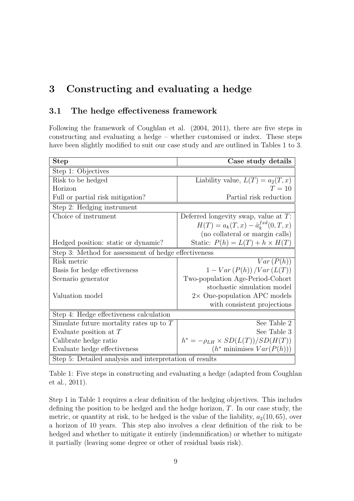# **3 Constructing and evaluating a hedge**

#### **3.1 The hedge effectiveness framework**

Following the framework of Coughlan et al. (2004, 2011), there are five steps in constructing and evaluating a hedge – whether customised or index. These steps have been slightly modified to suit our case study and are outlined in Tables 1 to 3.

| <b>Step</b>                                                | Case study details                            |  |  |  |
|------------------------------------------------------------|-----------------------------------------------|--|--|--|
| Step 1: Objectives                                         |                                               |  |  |  |
| Risk to be hedged                                          | Liability value, $L(T) = a_2(T, x)$           |  |  |  |
| Horizon                                                    | $T=10$                                        |  |  |  |
| Partial risk reduction<br>Full or partial risk mitigation? |                                               |  |  |  |
| Step 2: Hedging instrument                                 |                                               |  |  |  |
| Choice of instrument                                       | Deferred longevity swap, value at $T$ :       |  |  |  |
|                                                            | $H(T) = a_k(T, x) - \hat{a}_k^{fxd}(0, T, x)$ |  |  |  |
|                                                            | (no collateral or margin calls)               |  |  |  |
| Hedged position: static or dynamic?                        | Static: $P(h) = L(T) + h \times H(T)$         |  |  |  |
| Step 3: Method for assessment of hedge effectiveness       |                                               |  |  |  |
| Risk metric                                                | $\overline{Var(P(h))}$                        |  |  |  |
| Basis for hedge effectiveness                              | $1 - Var(P(h))/Var(L(T))$                     |  |  |  |
| Scenario generator                                         | Two-population Age-Period-Cohort              |  |  |  |
|                                                            | stochastic simulation model                   |  |  |  |
| Valuation model                                            | $2\times$ One-population APC models           |  |  |  |
|                                                            | with consistent projections                   |  |  |  |
| Step 4: Hedge effectiveness calculation                    |                                               |  |  |  |
| Simulate future mortality rates up to $T$                  | See Table 2                                   |  |  |  |
| Evaluate position at $T$                                   | See Table 3                                   |  |  |  |
| Calibrate hedge ratio                                      | $h^* = -\rho_{LH} \times SD(L(T))/SD(H(T))$   |  |  |  |
| Evaluate hedge effectiveness                               | $(h^*$ minimises $Var(P(h)))$                 |  |  |  |
| Step 5: Detailed analysis and interpretation of results    |                                               |  |  |  |

Table 1: Five steps in constructing and evaluating a hedge (adapted from Coughlan et al., 2011).

Step 1 in Table 1 requires a clear definition of the hedging objectives. This includes defining the position to be hedged and the hedge horizon, *T*. In our case study, the metric, or quantity at risk, to be hedged is the value of the liability,  $a_2(10, 65)$ , over a horizon of 10 years. This step also involves a clear definition of the risk to be hedged and whether to mitigate it entirely (indemnification) or whether to mitigate it partially (leaving some degree or other of residual basis risk).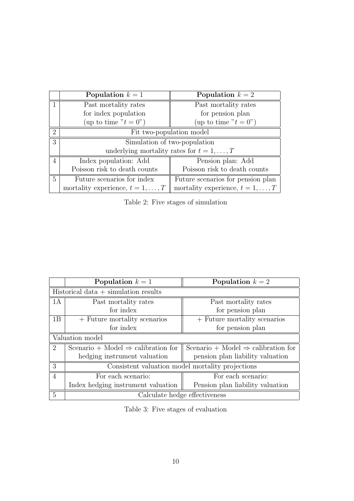|                | Population $k = 1$                                                                   | Population $k = 2$      |  |  |
|----------------|--------------------------------------------------------------------------------------|-------------------------|--|--|
|                | Past mortality rates                                                                 | Past mortality rates    |  |  |
|                | for index population                                                                 | for pension plan        |  |  |
|                | (up to time $i^*t = 0$ )                                                             | (up to time $"t = 0"$ ) |  |  |
| $\overline{2}$ | Fit two-population model                                                             |                         |  |  |
| 3              | Simulation of two-population                                                         |                         |  |  |
|                | underlying mortality rates for $t = 1, \ldots, T$                                    |                         |  |  |
| $\overline{4}$ | Pension plan: Add<br>Index population: Add                                           |                         |  |  |
|                | Poisson risk to death counts<br>Poisson risk to death counts                         |                         |  |  |
| $\overline{5}$ | Future scenarios for index<br>Future scenarios for pension plan                      |                         |  |  |
|                | mortality experience, $t = 1, \ldots, T$<br>mortality experience, $t = 1, \ldots, T$ |                         |  |  |

Table 2: Five stages of simulation

|                             | Population $k = 1$                                                                               | Population $k = 2$               |  |  |
|-----------------------------|--------------------------------------------------------------------------------------------------|----------------------------------|--|--|
|                             | $Historical data + simulation results$                                                           |                                  |  |  |
| 1A                          | Past mortality rates<br>Past mortality rates                                                     |                                  |  |  |
|                             | for index                                                                                        | for pension plan                 |  |  |
| 1B                          | + Future mortality scenarios                                                                     | + Future mortality scenarios     |  |  |
|                             | for index                                                                                        | for pension plan                 |  |  |
| Valuation model             |                                                                                                  |                                  |  |  |
| $\mathcal{D}_{\mathcal{L}}$ | Scenario + Model $\Rightarrow$ calibration for<br>Scenario + Model $\Rightarrow$ calibration for |                                  |  |  |
|                             | hedging instrument valuation                                                                     | pension plan liability valuation |  |  |
| 3                           | Consistent valuation model mortality projections                                                 |                                  |  |  |
| $\overline{4}$              | For each scenario:                                                                               | For each scenario:               |  |  |
|                             | Index hedging instrument valuation                                                               | Pension plan liability valuation |  |  |
| $\overline{5}$              | Calculate hedge effectiveness                                                                    |                                  |  |  |

Table 3: Five stages of evaluation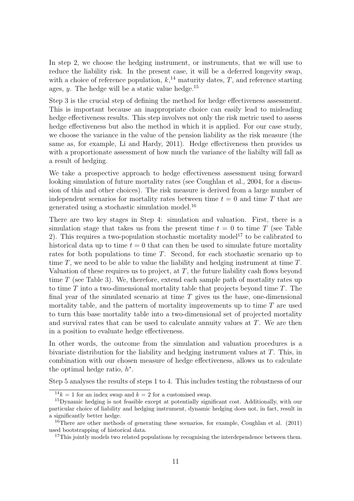In step 2, we choose the hedging instrument, or instruments, that we will use to reduce the liability risk. In the present case, it will be a deferred longevity swap, with a choice of reference population,  $k<sub>1</sub><sup>14</sup>$  maturity dates, T, and reference starting ages,  $\psi$ . The hedge will be a static value hedge.<sup>15</sup>

Step 3 is the crucial step of defining the method for hedge effectiveness assessment. This is important because an inappropriate choice can easily lead to misleading hedge effectiveness results. This step involves not only the risk metric used to assess hedge effectiveness but also the method in which it is applied. For our case study, we choose the variance in the value of the pension liability as the risk measure (the same as, for example, Li and Hardy, 2011). Hedge effectiveness then provides us with a proportionate assessment of how much the variance of the liabilty will fall as a result of hedging.

We take a prospective approach to hedge effectiveness assessment using forward looking simulation of future mortality rates (see Coughlan et al., 2004, for a discussion of this and other choices). The risk measure is derived from a large number of independent scenarios for mortality rates between time  $t = 0$  and time  $T$  that are generated using a stochastic simulation model.<sup>16</sup>

There are two key stages in Step 4: simulation and valuation. First, there is a simulation stage that takes us from the present time  $t = 0$  to time  $T$  (see Table 2). This requires a two-population stochastic mortality model<sup>17</sup> to be calibrated to historical data up to time  $t = 0$  that can then be used to simulate future mortality rates for both populations to time *T*. Second, for each stochastic scenario up to time *T*, we need to be able to value the liability and hedging instrument at time *T*. Valuation of these requires us to project, at *T*, the future liability cash flows beyond time *T* (see Table 3). We, therefore, extend each sample path of mortality rates up to time *T* into a two-dimensional mortality table that projects beyond time *T*. The final year of the simulated scenario at time *T* gives us the base, one-dimensional mortality table, and the pattern of mortality improvements up to time *T* are used to turn this base mortality table into a two-dimensional set of projected mortality and survival rates that can be used to calculate annuity values at *T*. We are then in a position to evaluate hedge effectiveness.

In other words, the outcome from the simulation and valuation procedures is a bivariate distribution for the liability and hedging instrument values at *T*. This, in combination with our chosen measure of hedge effectiveness, allows us to calculate the optimal hedge ratio, *h ∗* .

Step 5 analyses the results of steps 1 to 4. This includes testing the robustness of our

 $14k = 1$  for an index swap and  $k = 2$  for a customised swap.

<sup>15</sup>Dynamic hedging is not feasible except at potentially significant cost. Additionally, with our particular choice of liability and hedging instrument, dynamic hedging does not, in fact, result in a significantly better hedge.

<sup>&</sup>lt;sup>16</sup>There are other methods of generating these scenarios, for example, Coughlan et al. (2011) used bootstrapping of historical data.

<sup>&</sup>lt;sup>17</sup>This jointly models two related populations by recognising the interdependence between them.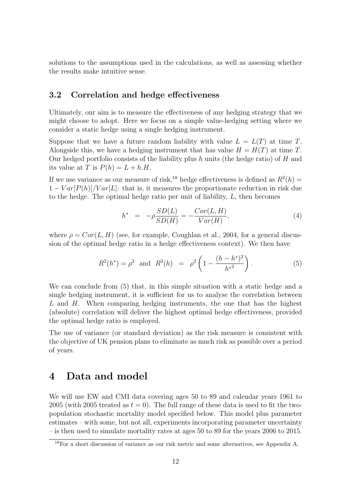solutions to the assumptions used in the calculations, as well as assessing whether the results make intuitive sense.

#### **3.2 Correlation and hedge effectiveness**

Ultimately, our aim is to measure the effectiveness of any hedging strategy that we might choose to adopt. Here we focus on a simple value-hedging setting where we consider a static hedge using a single hedging instrument.

Suppose that we have a future random liability with value  $L = L(T)$  at time *T*. Alongside this, we have a hedging instrument that has value  $H = H(T)$  at time *T*. Our hedged portfolio consists of the liability plus *h* units (the hedge ratio) of *H* and its value at *T* is  $P(h) = L + h.H$ .

If we use variance as our measure of risk,<sup>18</sup> hedge effectiveness is defined as  $R^2(h)$  = 1 *− V ar*[*P*(*h*)]*/V ar*[*L*]: that is, it measures the proportionate reduction in risk due to the hedge. The optimal hedge ratio per unit of liability, *L*, then becomes

$$
h^* = -\rho \frac{SD(L)}{SD(H)} = -\frac{Cov(L, H)}{Var(H)},\tag{4}
$$

where  $\rho = Cor(L, H)$  (see, for example, Coughlan et al., 2004, for a general discussion of the optimal hedge ratio in a hedge effectiveness context). We then have

$$
R^2(h^*) = \rho^2
$$
 and  $R^2(h) = \rho^2 \left(1 - \frac{(h - h^*)^2}{h^{*2}}\right)$ . (5)

We can conclude from (5) that, in this simple situation with a static hedge and a single hedging instrument, it is sufficient for us to analyse the correlation between *L* and *H*. When comparing hedging instruments, the one that has the highest (absolute) correlation will deliver the highest optimal hedge effectiveness, provided the optimal hedge ratio is employed.

The use of variance (or standard deviation) as the risk measure is consistent with the objective of UK pension plans to eliminate as much risk as possible over a period of years.

#### **4 Data and model**

We will use EW and CMI data covering ages 50 to 89 and calendar years 1961 to 2005 (with 2005 treated as  $t = 0$ ). The full range of these data is used to fit the twopopulation stochastic mortality model specified below. This model plus parameter estimates – with some, but not all, experiments incorporating parameter uncertainty – is then used to simulate mortality rates at ages 50 to 89 for the years 2006 to 2015.

<sup>18</sup>For a short discussion of variance as our risk metric and some alternatives, see Appendix A.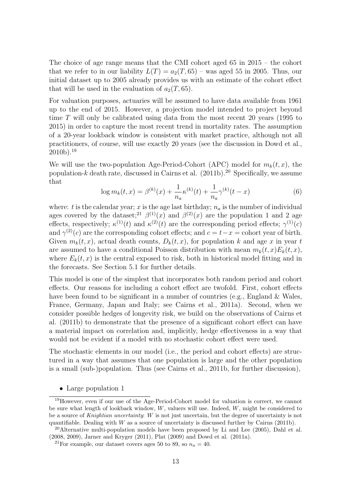The choice of age range means that the CMI cohort aged 65 in 2015 – the cohort that we refer to in our liability  $L(T) = a_2(T, 65)$  – was aged 55 in 2005. Thus, our initial dataset up to 2005 already provides us with an estimate of the cohort effect that will be used in the evaluation of  $a_2(T, 65)$ .

For valuation purposes, actuaries will be assumed to have data available from 1961 up to the end of 2015. However, a projection model intended to project beyond time *T* will only be calibrated using data from the most recent 20 years (1995 to 2015) in order to capture the most recent trend in mortality rates. The assumption of a 20-year lookback window is consistent with market practice, although not all practitioners, of course, will use exactly 20 years (see the discussion in Dowd et al.,  $2010<sub>b</sub>$ ).<sup>19</sup>

We will use the two-population Age-Period-Cohort (APC) model for  $m_k(t, x)$ , the population- $k$  death rate, discussed in Cairns et al.  $(2011b)$ .<sup>20</sup> Specifically, we assume that

$$
\log m_k(t, x) = \beta^{(k)}(x) + \frac{1}{n_a} \kappa^{(k)}(t) + \frac{1}{n_a} \gamma^{(k)}(t - x)
$$
\n(6)

where:  $t$  is the calendar year;  $x$  is the age last birthday;  $n_a$  is the number of individual ages covered by the dataset;<sup>21</sup>  $\beta^{(1)}(x)$  and  $\beta^{(2)}(x)$  are the population 1 and 2 age effects, respectively;  $\kappa^{(1)}(t)$  and  $\kappa^{(2)}(t)$  are the corresponding period effects;  $\gamma^{(1)}(c)$ and  $\gamma^{(2)}(c)$  are the corresponding cohort effects; and  $c = t - x =$  cohort year of birth. Given  $m_k(t, x)$ , actual death counts,  $D_k(t, x)$ , for population k and age x in year t are assumed to have a conditional Poisson distribution with mean  $m_k(t, x)E_k(t, x)$ , where  $E_k(t, x)$  is the central exposed to risk, both in historical model fitting and in the forecasts. See Section 5.1 for further details.

This model is one of the simplest that incorporates both random period and cohort effects. Our reasons for including a cohort effect are twofold. First, cohort effects have been found to be significant in a number of countries (e.g., England & Wales, France, Germany, Japan and Italy; see Cairns et al., 2011a). Second, when we consider possible hedges of longevity risk, we build on the observations of Cairns et al. (2011b) to demonstrate that the presence of a significant cohort effect can have a material impact on correlation and, implicitly, hedge effectiveness in a way that would not be evident if a model with no stochastic cohort effect were used.

The stochastic elements in our model (i.e., the period and cohort effects) are structured in a way that assumes that one population is large and the other population is a small (sub-)population. Thus (see Cairns et al., 2011b, for further discussion),

*•* Large population 1

<sup>&</sup>lt;sup>19</sup>However, even if our use of the Age-Period-Cohort model for valuation is correct, we cannot be sure what length of lookback window, *W*, valuers will use. Indeed, *W*, might be considered to be a source of *Knightian uncertainty*: *W* is not just uncertain, but the degree of uncertainty is not quantifiable. Dealing with *W* as a source of uncertainty is discussed further by Cairns (2011b).

<sup>&</sup>lt;sup>20</sup>Alternative multi-population models have been proposed by Li and Lee  $(2005)$ , Dahl et al. (2008, 2009), Jarner and Kryger (2011), Plat (2009) and Dowd et al. (2011a).

<sup>&</sup>lt;sup>21</sup>For example, our dataset covers ages 50 to 89, so  $n_a = 40$ .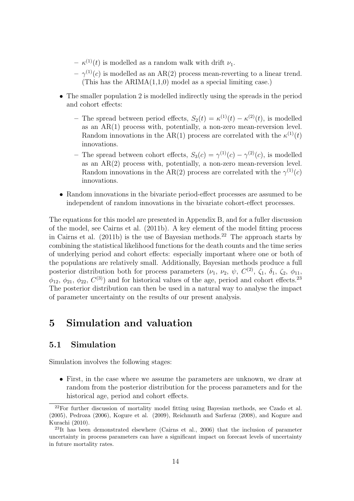- $-\kappa^{(1)}(t)$  is modelled as a random walk with drift  $\nu_1$ .
- $-\gamma^{(1)}(c)$  is modelled as an AR(2) process mean-reverting to a linear trend. (This has the  $ARIMA(1,1,0)$  model as a special limiting case.)
- The smaller population 2 is modelled indirectly using the spreads in the period and cohort effects:
	- $-$  The spread between period effects,  $S_2(t) = \kappa^{(1)}(t) \kappa^{(2)}(t)$ , is modelled as an AR(1) process with, potentially, a non-zero mean-reversion level. Random innovations in the AR(1) process are correlated with the  $\kappa^{(1)}(t)$ innovations.
	- $-$  The spread between cohort effects, *S*<sub>3</sub>(*c*) =  $\gamma$ <sup>(1)</sup>(*c*) −  $\gamma$ <sup>(2)</sup>(*c*), is modelled as an AR(2) process with, potentially, a non-zero mean-reversion level. Random innovations in the AR(2) process are correlated with the  $\gamma^{(1)}(c)$ innovations.
- Random innovations in the bivariate period-effect processes are assumed to be independent of random innovations in the bivariate cohort-effect processes.

The equations for this model are presented in Appendix B, and for a fuller discussion of the model, see Cairns et al. (2011b). A key element of the model fitting process in Cairns et al. (2011b) is the use of Bayesian methods.<sup>22</sup> The approach starts by combining the statistical likelihood functions for the death counts and the time series of underlying period and cohort effects: especially important where one or both of the populations are relatively small. Additionally, Bayesian methods produce a full posterior distribution both for process parameters  $(\nu_1, \nu_2, \psi, C^{(2)}, \zeta_1, \delta_1, \zeta_2, \phi_{11},$  $\phi_{12}, \phi_{21}, \phi_{22}, C^{(3)}$  and for historical values of the age, period and cohort effects.<sup>23</sup> The posterior distribution can then be used in a natural way to analyse the impact of parameter uncertainty on the results of our present analysis.

## **5 Simulation and valuation**

#### **5.1 Simulation**

Simulation involves the following stages:

*•* First, in the case where we assume the parameters are unknown, we draw at random from the posterior distribution for the process parameters and for the historical age, period and cohort effects.

<sup>22</sup>For further discussion of mortality model fitting using Bayesian methods, see Czado et al. (2005), Pedroza (2006), Kogure et al. (2009), Reichmuth and Sarferaz (2008), and Kogure and Kurachi (2010).

<sup>23</sup>It has been demonstrated elsewhere (Cairns et al., 2006) that the inclusion of parameter uncertainty in process parameters can have a significant impact on forecast levels of uncertainty in future mortality rates.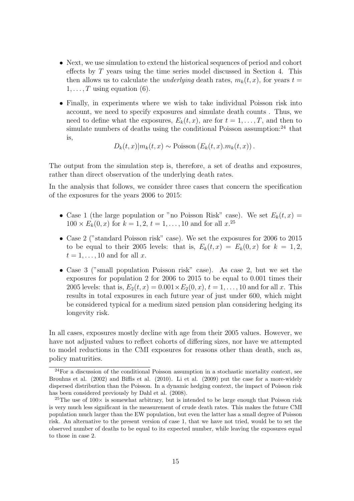- Next, we use simulation to extend the historical sequences of period and cohort effects by *T* years using the time series model discussed in Section 4. This then allows us to calculate the *underlying* death rates,  $m_k(t, x)$ , for years  $t =$  $1, \ldots, T$  using equation (6).
- Finally, in experiments where we wish to take individual Poisson risk into account, we need to specify exposures and simulate death counts . Thus, we need to define what the exposures,  $E_k(t, x)$ , are for  $t = 1, \ldots, T$ , and then to simulate numbers of deaths using the conditional Poisson assumption: $^{24}$  that is,

$$
D_k(t,x)|m_k(t,x) \sim \text{Poisson}(E_k(t,x).m_k(t,x)).
$$

The output from the simulation step is, therefore, a set of deaths and exposures, rather than direct observation of the underlying death rates.

In the analysis that follows, we consider three cases that concern the specification of the exposures for the years 2006 to 2015:

- Case 1 (the large population or "no Poisson Risk" case). We set  $E_k(t, x) =$  $100 \times E_k(0, x)$  for  $k = 1, 2, t = 1, \ldots, 10$  and for all  $x^{25}$
- Case 2 ("standard Poisson risk" case). We set the exposures for 2006 to 2015 to be equal to their 2005 levels: that is,  $E_k(t,x) = E_k(0,x)$  for  $k = 1,2$ ,  $t = 1, \ldots, 10$  and for all *x*.
- *•* Case 3 ("small population Poisson risk" case). As case 2, but we set the exposures for population 2 for 2006 to 2015 to be equal to 0.001 times their 2005 levels: that is,  $E_2(t, x) = 0.001 \times E_2(0, x), t = 1, ..., 10$  and for all *x*. This results in total exposures in each future year of just under 600, which might be considered typical for a medium sized pension plan considering hedging its longevity risk.

In all cases, exposures mostly decline with age from their 2005 values. However, we have not adjusted values to reflect cohorts of differing sizes, nor have we attempted to model reductions in the CMI exposures for reasons other than death, such as, policy maturities.

<sup>&</sup>lt;sup>24</sup>For a discussion of the conditional Poisson assumption in a stochastic mortality context, see Brouhns et al. (2002) and Biffis et al. (2010). Li et al. (2009) put the case for a more-widely dispersed distribution than the Poisson. In a dynamic hedging context, the impact of Poisson risk has been considered previously by Dahl et al. (2008).

<sup>&</sup>lt;sup>25</sup>The use of  $100\times$  is somewhat arbitrary, but is intended to be large enough that Poisson risk is very much less significant in the measurement of crude death rates. This makes the future CMI population much larger than the EW population, but even the latter has a small degree of Poisson risk. An alternative to the present version of case 1, that we have not tried, would be to set the observed number of deaths to be equal to its expected number, while leaving the exposures equal to those in case 2.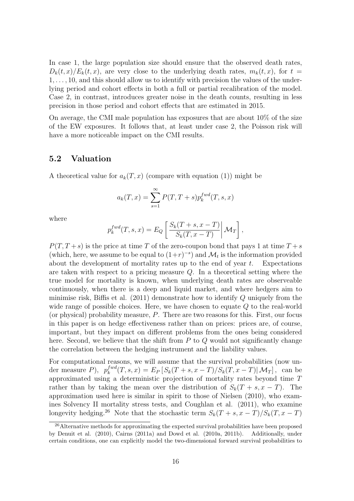In case 1, the large population size should ensure that the observed death rates,  $D_k(t,x)/E_k(t,x)$ , are very close to the underlying death rates,  $m_k(t,x)$ , for  $t =$ 1*, . . . ,* 10, and this should allow us to identify with precision the values of the underlying period and cohort effects in both a full or partial recalibration of the model. Case 2, in contrast, introduces greater noise in the death counts, resulting in less precision in those period and cohort effects that are estimated in 2015.

On average, the CMI male population has exposures that are about 10% of the size of the EW exposures. It follows that, at least under case 2, the Poisson risk will have a more noticeable impact on the CMI results.

#### **5.2 Valuation**

A theoretical value for  $a_k(T, x)$  (compare with equation (1)) might be

$$
a_k(T, x) = \sum_{s=1}^{\infty} P(T, T+s) p_k^{fwd}(T, s, x)
$$

where

$$
p_k^{fwd}(T, s, x) = E_Q \left[ \frac{S_k(T + s, x - T)}{S_k(T, x - T)} \middle| \mathcal{M}_T \right],
$$

 $P(T, T + s)$  is the price at time *T* of the zero-coupon bond that pays 1 at time  $T + s$ (which, here, we assume to be equal to  $(1+r)^{-s}$ ) and  $\mathcal{M}_t$  is the information provided about the development of mortality rates up to the end of year *t*. Expectations are taken with respect to a pricing measure *Q*. In a theoretical setting where the true model for mortality is known, when underlying death rates are observeable continuously, when there is a deep and liquid market, and where hedgers aim to minimise risk, Biffis et al. (2011) demonstrate how to identify *Q* uniquely from the wide range of possible choices. Here, we have chosen to equate *Q* to the real-world (or physical) probability measure, *P*. There are two reasons for this. First, our focus in this paper is on hedge effectiveness rather than on prices: prices are, of course, important, but they impact on different problems from the ones being considered here. Second, we believe that the shift from *P* to *Q* would not significantly change the correlation between the hedging instrument and the liability values.

For computational reasons, we will assume that the survival probabilities (now under measure  $P$ ),  $p_k^{fwd}$  $\int_{k}^{w} f(x, t) \, dx = E_P \left[ S_k(T + s, x - T) / S_k(T, x - T) | \mathcal{M}_T \right],$  can be approximated using a deterministic projection of mortality rates beyond time *T* rather than by taking the mean over the distribution of  $S_k(T + s, x - T)$ . The approximation used here is similar in spirit to those of Nielsen (2010), who examines Solvency II mortality stress tests, and Coughlan et al. (2011), who examine longevity hedging.<sup>26</sup> Note that the stochastic term  $S_k(T + s, x - T)/S_k(T, x - T)$ 

<sup>&</sup>lt;sup>26</sup>Alternative methods for approximating the expected survival probabilities have been proposed by Denuit et al. (2010), Cairns (2011a) and Dowd et al. (2010a, 2011b). Additionally, under certain conditions, one can explicitly model the two-dimensional forward survival probabilities to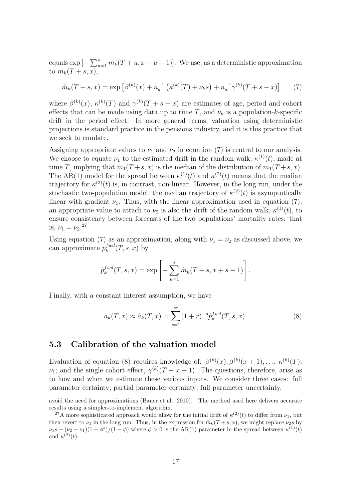equals  $\exp[-\sum_{u=1}^s m_k(T+u, x+u-1)]$ . We use, as a deterministic approximation to  $m_k(T+s,x)$ ,

$$
\hat{m}_k(T+s,x) = \exp\left[\beta^{(k)}(x) + n_a^{-1}\left(\kappa^{(k)}(T) + \nu_k s\right) + n_a^{-1}\gamma^{(k)}(T+s-x)\right] \tag{7}
$$

where  $\beta^{(k)}(x)$ ,  $\kappa^{(k)}(T)$  and  $\gamma^{(k)}(T + s - x)$  are estimates of age, period and cohort effects that can be made using data up to time *T*, and  $\nu_k$  is a population-*k*-specific drift in the period effect. In more general terms, valuation using deterministic projections is standard practice in the pensions industry, and it is this practice that we seek to emulate.

Assigning appropriate values to  $\nu_1$  and  $\nu_2$  in equation (7) is central to our analysis. We choose to equate  $\nu_1$  to the estimated drift in the random walk,  $\kappa^{(1)}(t)$ , made at time *T*, implying that  $\hat{m}_1(T+s,x)$  is the median of the distribution of  $m_1(T+s,x)$ . The AR(1) model for the spread between  $\kappa^{(1)}(t)$  and  $\kappa^{(2)}(t)$  means that the median trajectory for  $\kappa^{(2)}(t)$  is, in contrast, non-linear. However, in the long run, under the stochastic two-population model, the median trajectory of  $\kappa^{(2)}(t)$  is asymptotically linear with gradient  $\nu_1$ . Thus, with the linear approximation used in equation (7), an appropriate value to attach to  $\nu_2$  is also the drift of the random walk,  $\kappa^{(1)}(t)$ , to ensure consistency between forecasts of the two populations' mortality rates: that is,  $\nu_1 = \nu_2$ .<sup>27</sup>

Using equation (7) as an approximation, along with  $\nu_1 = \nu_2$  as discussed above, we  $\text{can approximate } p_k^{fwd}$  $\int_k^{fwd}(T, s, x)$  by

$$
\hat{p}_k^{fwd}(T, s, x) = \exp \left[ -\sum_{u=1}^s \hat{m}_k (T + s, x + s - 1) \right].
$$

Finally, with a constant interest assumption, we have

$$
a_k(T, x) \approx \hat{a}_k(T, x) = \sum_{s=1}^{\infty} (1+r)^{-s} \hat{p}_k^{fwd}(T, s, x).
$$
 (8)

#### **5.3 Calibration of the valuation model**

Evaluation of equation (8) requires knowledge of:  $\beta^{(k)}(x), \beta^{(k)}(x+1), \ldots; \kappa^{(k)}(T);$ *ν*<sub>1</sub>; and the single cohort effect,  $\gamma^{(k)}(T-x+1)$ . The questions, therefore, arise as to how and when we estimate these various inputs. We consider three cases: full parameter certainty; partial parameter certainty; full parameter uncertainty.

avoid the need for approximations (Bauer et al., 2010). The method used here delivers accurate results using a simpler-to-implement algorithm.

<sup>&</sup>lt;sup>27</sup>A more sophisticated approach would allow for the initial drift of  $\kappa^{(2)}(t)$  to differ from  $\nu_1$ , but then revert to  $\nu_1$  in the long run. Thus, in the expression for  $\hat{m}_k(T+s,x)$ , we might replace  $\nu_2 s$  by  $\nu_1 s + (\nu_2 - \nu_1)(1 - \phi^s)/(1 - \phi)$  where  $\phi > 0$  is the AR(1) parameter in the spread between  $\kappa^{(1)}(t)$ and  $\kappa^{(2)}(t)$ .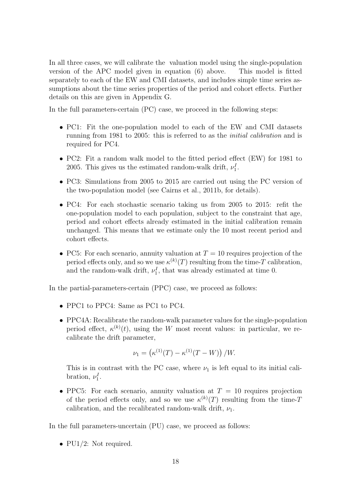In all three cases, we will calibrate the valuation model using the single-population version of the APC model given in equation (6) above. This model is fitted separately to each of the EW and CMI datasets, and includes simple time series assumptions about the time series properties of the period and cohort effects. Further details on this are given in Appendix G.

In the full parameters-certain (PC) case, we proceed in the following steps:

- *•* PC1: Fit the one-population model to each of the EW and CMI datasets running from 1981 to 2005: this is referred to as the *initial calibration* and is required for PC4.
- *•* PC2: Fit a random walk model to the fitted period effect (EW) for 1981 to 2005. This gives us the estimated random-walk drift,  $\nu_1^I$ .
- *•* PC3: Simulations from 2005 to 2015 are carried out using the PC version of the two-population model (see Cairns et al., 2011b, for details).
- *•* PC4: For each stochastic scenario taking us from 2005 to 2015: refit the one-population model to each population, subject to the constraint that age, period and cohort effects already estimated in the initial calibration remain unchanged. This means that we estimate only the 10 most recent period and cohort effects.
- *•* PC5: For each scenario, annuity valuation at *T* = 10 requires projection of the period effects only, and so we use  $\kappa^{(k)}(T)$  resulting from the time-*T* calibration, and the random-walk drift,  $\nu_1^I$ , that was already estimated at time 0.

In the partial-parameters-certain (PPC) case, we proceed as follows:

- *•* PPC1 to PPC4: Same as PC1 to PC4.
- PPC4A: Recalibrate the random-walk parameter values for the single-population period effect,  $\kappa^{(k)}(t)$ , using the *W* most recent values: in particular, we recalibrate the drift parameter,

$$
\nu_1 = (\kappa^{(1)}(T) - \kappa^{(1)}(T - W)) / W.
$$

This is in contrast with the PC case, where  $\nu_1$  is left equal to its initial calibration,  $\nu_1^I$ .

• PPC5: For each scenario, annuity valuation at  $T = 10$  requires projection of the period effects only, and so we use  $\kappa^{(k)}(T)$  resulting from the time-*T* calibration, and the recalibrated random-walk drift,  $\nu_1$ .

In the full parameters-uncertain (PU) case, we proceed as follows:

• PU1/2: Not required.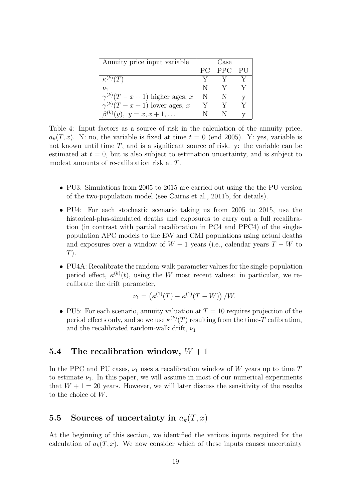| Annuity price input variable         | Case       |     |
|--------------------------------------|------------|-----|
|                                      | <b>PPC</b> | PII |
| $\kappa^{(k)}(T)$                    |            |     |
|                                      |            |     |
| $\gamma^{(k)}(T-x+1)$ higher ages, x |            |     |
| $\gamma^{(k)}(T-x+1)$ lower ages, x  |            |     |
| $\beta^{(k)}(y), y = x, x + 1, $     |            |     |

Table 4: Input factors as a source of risk in the calculation of the annuity price,  $a_k(T, x)$ . N: no, the variable is fixed at time  $t = 0$  (end 2005). Y: yes, variable is not known until time *T*, and is a significant source of risk. y: the variable can be estimated at  $t = 0$ , but is also subject to estimation uncertainty, and is subject to modest amounts of re-calibration risk at *T*.

- *•* PU3: Simulations from 2005 to 2015 are carried out using the the PU version of the two-population model (see Cairns et al., 2011b, for details).
- PU4: For each stochastic scenario taking us from 2005 to 2015, use the historical-plus-simulated deaths and exposures to carry out a full recalibration (in contrast with partial recalibration in PC4 and PPC4) of the singlepopulation APC models to the EW and CMI populations using actual deaths and exposures over a window of  $W + 1$  years (i.e., calendar years  $T - W$  to *T*).
- *•* PU4A: Recalibrate the random-walk parameter values for the single-population period effect,  $\kappa^{(k)}(t)$ , using the *W* most recent values: in particular, we recalibrate the drift parameter,

$$
\nu_1 = (\kappa^{(1)}(T) - \kappa^{(1)}(T - W)) / W.
$$

*•* PU5: For each scenario, annuity valuation at *T* = 10 requires projection of the period effects only, and so we use  $\kappa^{(k)}(T)$  resulting from the time-*T* calibration, and the recalibrated random-walk drift,  $\nu_1$ .

#### **5.4 The recalibration window,** *W* + 1

In the PPC and PU cases,  $\nu_1$  uses a recalibration window of W years up to time T to estimate  $\nu_1$ . In this paper, we will assume in most of our numerical experiments that  $W + 1 = 20$  years. However, we will later discuss the sensitivity of the results to the choice of *W*.

#### **5.5 Sources of uncertainty in**  $a_k(T, x)$

At the beginning of this section, we identified the various inputs required for the calculation of  $a_k(T, x)$ . We now consider which of these inputs causes uncertainty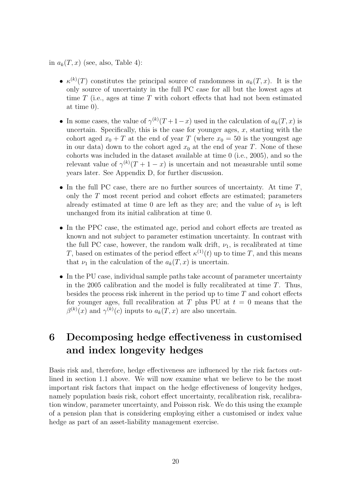in  $a_k(T, x)$  (see, also, Table 4):

- $\kappa^{(k)}(T)$  constitutes the principal source of randomness in  $a_k(T, x)$ . It is the only source of uncertainty in the full PC case for all but the lowest ages at time *T* (i.e., ages at time *T* with cohort effects that had not been estimated at time 0).
- In some cases, the value of  $\gamma^{(k)}(T+1-x)$  used in the calculation of  $a_k(T, x)$  is uncertain. Specifically, this is the case for younger ages,  $x$ , starting with the cohort aged  $x_0 + T$  at the end of year *T* (where  $x_0 = 50$  is the youngest age in our data) down to the cohort aged  $x_0$  at the end of year *T*. None of these cohorts was included in the dataset available at time 0 (i.e., 2005), and so the relevant value of  $\gamma^{(k)}(T+1-x)$  is uncertain and not measurable until some years later. See Appendix D, for further discussion.
- *•* In the full PC case, there are no further sources of uncertainty. At time *T*, only the *T* most recent period and cohort effects are estimated; parameters already estimated at time 0 are left as they are; and the value of  $\nu_1$  is left unchanged from its initial calibration at time 0.
- In the PPC case, the estimated age, period and cohort effects are treated as known and not subject to parameter estimation uncertainty. In contrast with the full PC case, however, the random walk drift,  $\nu_1$ , is recalibrated at time *T*, based on estimates of the period effect  $\kappa^{(1)}(t)$  up to time *T*, and this means that  $\nu_1$  in the calculation of the  $a_k(T, x)$  is uncertain.
- In the PU case, individual sample paths take account of parameter uncertainty in the 2005 calibration and the model is fully recalibrated at time *T*. Thus, besides the process risk inherent in the period up to time *T* and cohort effects for younger ages, full recalibration at  $T$  plus PU at  $t = 0$  means that the  $\beta^{(k)}(x)$  and  $\gamma^{(k)}(c)$  inputs to  $a_k(T, x)$  are also uncertain.

# **6 Decomposing hedge effectiveness in customised and index longevity hedges**

Basis risk and, therefore, hedge effectiveness are influenced by the risk factors outlined in section 1.1 above. We will now examine what we believe to be the most important risk factors that impact on the hedge effectiveness of longevity hedges, namely population basis risk, cohort effect uncertainty, recalibration risk, recalibration window, parameter uncertainty, and Poisson risk. We do this using the example of a pension plan that is considering employing either a customised or index value hedge as part of an asset-liability management exercise.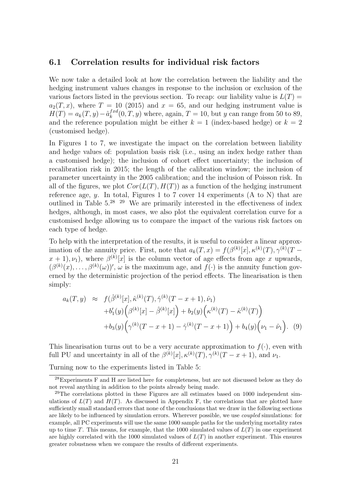#### **6.1 Correlation results for individual risk factors**

We now take a detailed look at how the correlation between the liability and the hedging instrument values changes in response to the inclusion or exclusion of the various factors listed in the previous section. To recap: our liability value is  $L(T)$  =  $a_2(T, x)$ , where  $T = 10$  (2015) and  $x = 65$ , and our hedging instrument value is  $H(T) = a_k(T, y) - \hat{a}_k^{fxd}$  $\chi_k^{t,a}(0,T,y)$  where, again,  $T = 10$ , but *y* can range from 50 to 89, and the reference population might be either  $k = 1$  (index-based hedge) or  $k = 2$ (customised hedge).

In Figures 1 to 7, we investigate the impact on the correlation between liability and hedge values of: population basis risk (i.e., using an index hedge rather than a customised hedge); the inclusion of cohort effect uncertainty; the inclusion of recalibration risk in 2015; the length of the calibration window; the inclusion of parameter uncertainty in the 2005 calibration; and the inclusion of Poisson risk. In all of the figures, we plot  $Cor(L(T), H(T))$  as a function of the hedging instrument reference age, *y*. In total, Figures 1 to 7 cover 14 experiments (A to N) that are outlined in Table 5.28 29 We are primarily interested in the effectiveness of index hedges, although, in most cases, we also plot the equivalent correlation curve for a customised hedge allowing us to compare the impact of the various risk factors on each type of hedge.

To help with the interpretation of the results, it is useful to consider a linear approximation of the annuity price. First, note that  $a_k(T, x) = f(\beta^{(k)}[x], \kappa^{(k)}(T), \gamma^{(k)}(T (x + 1), \nu_1$ , where  $\beta^{(k)}[x]$  is the column vector of age effects from age *x* upwards,  $(\beta^{(k)}(x), \ldots, \beta^{(k)}(\omega))'$ ,  $\omega$  is the maximum age, and  $f(\cdot)$  is the annuity function governed by the deterministic projection of the period effects. The linearisation is then simply:

$$
a_k(T, y) \approx f(\hat{\beta}^{(k)}[x], \hat{\kappa}^{(k)}(T), \hat{\gamma}^{(k)}(T - x + 1), \hat{\nu}_1) + b'_1(y) \Big( \beta^{(k)}[x] - \hat{\beta}^{(k)}[x] \Big) + b_2(y) \Big( \kappa^{(k)}(T) - \hat{\kappa}^{(k)}(T) \Big) + b_3(y) \Big( \gamma^{(k)}(T - x + 1) - \hat{\gamma}^{(k)}(T - x + 1) \Big) + b_4(y) \Big( \nu_1 - \hat{\nu}_1 \Big).
$$
 (9)

This linearisation turns out to be a very accurate approximation to  $f(\cdot)$ , even with full PU and uncertainty in all of the  $\beta^{(k)}[x], \kappa^{(k)}(T), \gamma^{(k)}(T-x+1)$ , and  $\nu_1$ .

Turning now to the experiments listed in Table 5:

<sup>28</sup>Experiments F and H are listed here for completeness, but are not discussed below as they do not reveal anything in addition to the points already being made.

 $^{29}$ The correlations plotted in these Figures are all estimates based on 1000 independent simulations of  $L(T)$  and  $H(T)$ . As discussed in Appendix F, the correlations that are plotted have sufficiently small standard errors that none of the conclusions that we draw in the following sections are likely to be influenced by simulation errors. Wherever possible, we use *coupled* simulations: for example, all PC experiments will use the same 1000 sample paths for the underlying mortality rates up to time *T*. This means, for example, that the 1000 simulated values of  $L(T)$  in one experiment are highly correlated with the 1000 simulated values of *L*(*T*) in another experiment. This ensures greater robustness when we compare the results of different experiments.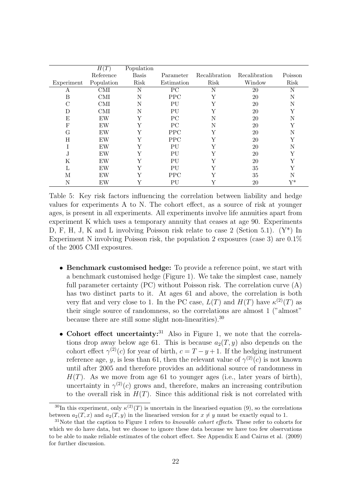|                  | H(T)       | Population   |            |                      |               |         |
|------------------|------------|--------------|------------|----------------------|---------------|---------|
|                  | Reference  | <b>Basis</b> | Parameter  | <b>Recalibration</b> | Recalibration | Poisson |
| Experiment       | Population | Risk         | Estimation | Risk                 | Window        | Risk    |
| А                | <b>CMI</b> | N            | PC         | N                    | 20            | N       |
| B                | <b>CMI</b> | N            | <b>PPC</b> | Υ                    | 20            | N       |
| $\mathcal{C}$    | <b>CMI</b> | N            | PU         | Y                    | 20            | N       |
| D                | <b>CMI</b> | N            | PU         | Y                    | 20            | Υ       |
| E                | EW         | Y            | PC         | N                    | 20            | N       |
| $\boldsymbol{F}$ | EW         | Υ            | PC         | N                    | 20            | Υ       |
| G                | EW         | Υ            | <b>PPC</b> | Υ                    | 20            | N       |
| H                | EW         | Y            | <b>PPC</b> | Y                    | 20            | Y       |
|                  | EW         | Y            | PU         | Y                    | 20            | N       |
| J.               | EW         | Y            | PU         | Y                    | 20            | Y       |
| K                | EW         | Y            | PU         | Y                    | 20            | Υ       |
| L                | EW         | Y            | PU         | Y                    | 35            | Y       |
| М                | EW         | Y            | <b>PPC</b> | Y                    | 35            | N       |
| N                | EW         | Y            | PU         | Y                    | 20            | Y*      |

Table 5: Key risk factors influencing the correlation between liability and hedge values for experiments A to N. The cohort effect, as a source of risk at younger ages, is present in all experiments. All experiments involve life annuities apart from experiment K which uses a temporary annuity that ceases at age 90. Experiments D, F, H, J, K and L involving Poisson risk relate to case 2 (Setion 5.1). (Y\*) In Experiment N involving Poisson risk, the population 2 exposures (case 3) are 0.1% of the 2005 CMI exposures.

- *•* **Benchmark customised hedge:** To provide a reference point, we start with a benchmark customised hedge (Figure 1). We take the simplest case, namely full parameter certainty (PC) without Poisson risk. The correlation curve (A) has two distinct parts to it. At ages 61 and above, the correlation is both very flat and very close to 1. In the PC case,  $L(T)$  and  $H(T)$  have  $\kappa^{(2)}(T)$  as their single source of randomness, so the correlations are almost 1 ("almost" because there are still some slight non-linearities).<sup>30</sup>
- *•* **Cohort effect uncertainty:**<sup>31</sup> Also in Figure 1, we note that the correlations drop away below age 61. This is because  $a_2(T, y)$  also depends on the cohort effect  $\gamma^{(2)}(c)$  for year of birth,  $c = T - y + 1$ . If the hedging instrument reference age, *y*, is less than 61, then the relevant value of  $\gamma^{(2)}(c)$  is not known until after 2005 and therefore provides an additional source of randomness in  $H(T)$ . As we move from age 61 to younger ages (i.e., later years of birth), uncertainty in  $\gamma^{(2)}(c)$  grows and, therefore, makes an increasing contribution to the overall risk in  $H(T)$ . Since this additional risk is not correlated with

<sup>&</sup>lt;sup>30</sup>In this experiment, only  $\kappa^{(2)}(T)$  is uncertain in the linearised equation (9), so the correlations between  $a_2(T, x)$  and  $a_2(T, y)$  in the linearised version for  $x \neq y$  must be exactly equal to 1.

<sup>31</sup>Note that the caption to Figure 1 refers to *knowable cohort effects*. These refer to cohorts for which we do have data, but we choose to ignore these data because we have too few observations to be able to make reliable estimates of the cohort effect. See Appendix E and Cairns et al. (2009) for further discussion.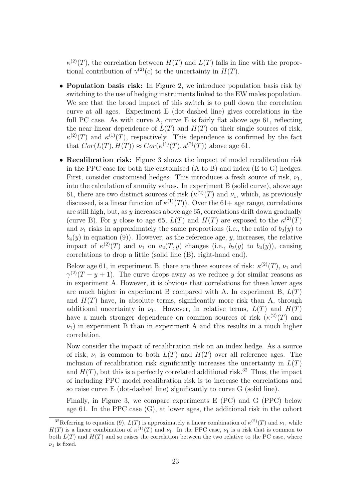$\kappa^{(2)}(T)$ , the correlation between  $H(T)$  and  $L(T)$  falls in line with the proportional contribution of  $\gamma^{(2)}(c)$  to the uncertainty in  $H(T)$ .

- *•* **Population basis risk:** In Figure 2, we introduce population basis risk by switching to the use of hedging instruments linked to the EW males population. We see that the broad impact of this switch is to pull down the correlation curve at all ages. Experiment E (dot-dashed line) gives correlations in the full PC case. As with curve A, curve E is fairly flat above age 61, reflecting the near-linear dependence of  $L(T)$  and  $H(T)$  on their single sources of risk,  $\kappa^{(2)}(T)$  and  $\kappa^{(1)}(T)$ , respectively. This dependence is confirmed by the fact that  $Cor(L(T), H(T)) \approx Cor(\kappa^{(1)}(T), \kappa^{(2)}(T))$  above age 61.
- *•* **Recalibration risk:** Figure 3 shows the impact of model recalibration risk in the PPC case for both the customised  $(A \text{ to } B)$  and index  $(E \text{ to } G)$  hedges. First, consider customised hedges. This introduces a fresh source of risk,  $\nu_1$ , into the calculation of annuity values. In experiment B (solid curve), above age 61, there are two distinct sources of risk  $(\kappa^{(2)}(T)$  and  $\nu_1$ , which, as previously discussed, is a linear function of  $\kappa^{(1)}(T)$ ). Over the 61+ age range, correlations are still high, but, as *y* increases above age 65, correlations drift down gradually (curve B). For *y* close to age 65,  $L(T)$  and  $H(T)$  are exposed to the  $\kappa^{(2)}(T)$ and  $\nu_1$  risks in approximately the same proportions (i.e., the ratio of  $b_2(y)$  to  $b_4(y)$  in equation (9)). However, as the reference age,  $y$ , increases, the relative impact of  $\kappa^{(2)}(T)$  and  $\nu_1$  on  $a_2(T, y)$  changes (i.e.,  $b_2(y)$  to  $b_4(y)$ ), causing correlations to drop a little (solid line (B), right-hand end).

Below age 61, in experiment B, there are three sources of risk:  $\kappa^{(2)}(T)$ ,  $\nu_1$  and  $\gamma^{(2)}(T - y + 1)$ . The curve drops away as we reduce *y* for similar reasons as in experiment A. However, it is obvious that correlations for these lower ages are much higher in experiment B compared with A. In experiment B, *L*(*T*) and  $H(T)$  have, in absolute terms, significantly more risk than A, through additional uncertainty in  $\nu_1$ . However, in relative terms,  $L(T)$  and  $H(T)$ have a much stronger dependence on common sources of risk  $(\kappa^{(2)}(T))$  and  $\nu_1$ ) in experiment B than in experiment A and this results in a much higher correlation.

Now consider the impact of recalibration risk on an index hedge. As a source of risk,  $\nu_1$  is common to both  $L(T)$  and  $H(T)$  over all reference ages. The inclusion of recalibration risk significantly increases the uncertainty in  $L(T)$ and  $H(T)$ , but this is a perfectly correlated additional risk.<sup>32</sup> Thus, the impact of including PPC model recalibration risk is to increase the correlations and so raise curve E (dot-dashed line) significantly to curve G (solid line).

Finally, in Figure 3, we compare experiments E (PC) and G (PPC) below age 61. In the PPC case (G), at lower ages, the additional risk in the cohort

<sup>&</sup>lt;sup>32</sup>Referring to equation (9),  $L(T)$  is approximately a linear combination of  $\kappa^{(2)}(T)$  and  $\nu_1$ , while  $H(T)$  is a linear combination of  $\kappa^{(1)}(T)$  and  $\nu_1$ . In the PPC case,  $\nu_1$  is a risk that is common to both  $L(T)$  and  $H(T)$  and so raises the correlation between the two relative to the PC case, where  $\nu_1$  is fixed.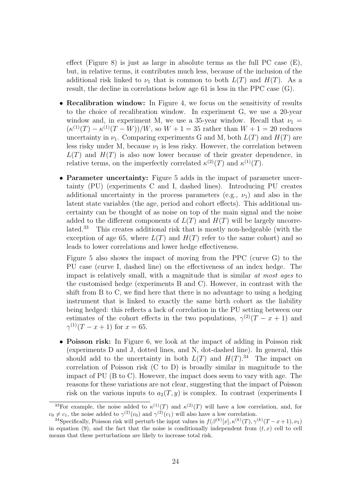effect (Figure 8) is just as large in absolute terms as the full PC case  $(E)$ , but, in relative terms, it contributes much less, because of the inclusion of the additional risk linked to  $\nu_1$  that is common to both  $L(T)$  and  $H(T)$ . As a result, the decline in correlations below age 61 is less in the PPC case (G).

- **Recalibration window:** In Figure 4, we focus on the sensitivity of results to the choice of recalibration window. In experiment G, we use a 20-year window and, in experiment M, we use a 35-year window. Recall that  $\nu_1$  $(\kappa^{(1)}(T) - \kappa^{(1)}(T - W))/W$ , so  $W + 1 = 35$  rather than  $W + 1 = 20$  reduces uncertainty in  $\nu_1$ . Comparing experiments G and M, both  $L(T)$  and  $H(T)$  are less risky under M, because  $\nu_1$  is less risky. However, the correlation between  $L(T)$  and  $H(T)$  is also now lower because of their greater dependence, in relative terms, on the imperfectly correlated  $\kappa^{(2)}(T)$  and  $\kappa^{(1)}(T)$ .
- **Parameter uncertainty:** Figure 5 adds in the impact of parameter uncertainty (PU) (experiments C and I, dashed lines). Introducing PU creates additional uncertainty in the process parameters  $(e.g., \nu_1)$  and also in the latent state variables (the age, period and cohort effects). This additional uncertainty can be thought of as noise on top of the main signal and the noise added to the different components of  $L(T)$  and  $H(T)$  will be largely uncorrelated.<sup>33</sup> This creates additional risk that is mostly non-hedgeable (with the exception of age 65, where  $L(T)$  and  $H(T)$  refer to the same cohort) and so leads to lower correlations and lower hedge effectiveness.

Figure 5 also shows the impact of moving from the PPC (curve G) to the PU case (curve I, dashed line) on the effectiveness of an index hedge. The impact is relatively small, with a magnitude that is similar *at most ages* to the customised hedge (experiments B and C). However, in contrast with the shift from B to C, we find here that there is no advantage to using a hedging instrument that is linked to exactly the same birth cohort as the liability being hedged: this reflects a lack of correlation in the PU setting between our estimates of the cohort effects in the two populations,  $\gamma^{(2)}(T-x+1)$  and *γ*<sup>(1)</sup>(*T − x* + 1) for *x* = 65.

*•* **Poisson risk:** In Figure 6, we look at the impact of adding in Poisson risk (experiments D and J, dotted lines, and N, dot-dashed line). In general, this should add to the uncertainty in both  $L(T)$  and  $H(T)$ .<sup>34</sup> The impact on correlation of Poisson risk (C to D) is broadly similar in magnitude to the impact of PU (B to C). However, the impact does seem to vary with age. The reasons for these variations are not clear, suggesting that the impact of Poisson risk on the various inputs to  $a_2(T, y)$  is complex. In contrast (experiments I

<sup>&</sup>lt;sup>33</sup>For example, the noise added to  $\kappa^{(1)}(T)$  and  $\kappa^{(2)}(T)$  will have a low correlation, and, for  $c_0 \neq c_1$ , the noise added to  $\gamma^{(2)}(c_0)$  and  $\gamma^{(2)}(c_1)$  will also have a low correlation.

<sup>&</sup>lt;sup>34</sup>Specifically, Poisson risk will perturb the input values in  $f(\beta^{(k)}[x], \kappa^{(k)}(T), \gamma^{(k)}(T-x+1), \nu_1)$ in equation (9), and the fact that the noise is conditionally independent from  $(t, x)$  cell to cell means that these perturbations are likely to increase total risk.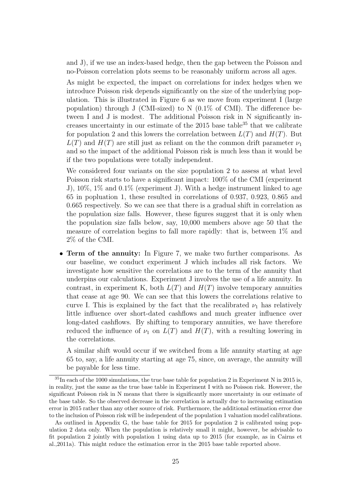and J), if we use an index-based hedge, then the gap between the Poisson and no-Poisson correlation plots seems to be reasonably uniform across all ages.

As might be expected, the impact on correlations for index hedges when we introduce Poisson risk depends significantly on the size of the underlying population. This is illustrated in Figure 6 as we move from experiment I (large population) through J (CMI-sized) to N  $(0.1\%$  of CMI). The difference between I and J is modest. The additional Poisson risk in N significantly increases uncertainty in our estimate of the 2015 base table<sup>35</sup> that we calibrate for population 2 and this lowers the correlation between  $L(T)$  and  $H(T)$ . But  $L(T)$  and  $H(T)$  are still just as reliant on the the common drift parameter  $\nu_1$ and so the impact of the additional Poisson risk is much less than it would be if the two populations were totally independent.

We considered four variants on the size population 2 to assess at what level Poisson risk starts to have a significant impact: 100% of the CMI (experiment J), 10%, 1% and 0.1% (experiment J). With a hedge instrument linked to age 65 in popluation 1, these resulted in correlations of 0*.*937, 0*.*923, 0*.*865 and 0*.*665 respectively. So we can see that there is a gradual shift in correlation as the population size falls. However, these figures suggest that it is only when the population size falls below, say, 10,000 members above age 50 that the measure of correlation begins to fall more rapidly: that is, between 1% and 2% of the CMI.

*•* **Term of the annuity:** In Figure 7, we make two further comparisons. As our baseline, we conduct experiment J which includes all risk factors. We investigate how sensitive the correlations are to the term of the annuity that underpins our calculations. Experiment J involves the use of a life annuity. In contrast, in experiment K, both  $L(T)$  and  $H(T)$  involve temporary annuities that cease at age 90. We can see that this lowers the correlations relative to curve I. This is explained by the fact that the recalibrated  $\nu_1$  has relatively little influence over short-dated cashflows and much greater influence over long-dated cashflows. By shifting to temporary annuities, we have therefore reduced the influence of  $\nu_1$  on  $L(T)$  and  $H(T)$ , with a resulting lowering in the correlations.

A similar shift would occur if we switched from a life annuity starting at age 65 to, say, a life annuity starting at age 75, since, on average, the annuity will be payable for less time.

 $35$ In each of the 1000 simulations, the true base table for population 2 in Experiment N in 2015 is, in reality, just the same as the true base table in Experiment I with no Poisson risk. However, the significant Poisson risk in N means that there is significantly more uncertainty in our estimate of the base table. So the observed decrease in the correlation is actually due to increasing estimation error in 2015 rather than any other source of risk. Furthermore, the additional estimation error due to the inclusion of Poisson risk will be independent of the population 1 valuation model calibrations.

As outlined in Appendix G, the base table for 2015 for population 2 is calibrated using population 2 data only. When the population is relatively small it might, however, be advisable to fit population 2 jointly with population 1 using data up to 2015 (for example, as in Cairns et al.,2011a). This might reduce the estimation error in the 2015 base table reported above.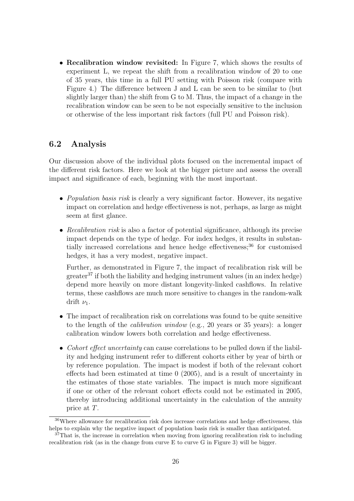*•* **Recalibration window revisited:** In Figure 7, which shows the results of experiment L, we repeat the shift from a recalibration window of 20 to one of 35 years, this time in a full PU setting with Poisson risk (compare with Figure 4.) The difference between J and L can be seen to be similar to (but slightly larger than) the shift from G to M. Thus, the impact of a change in the recalibration window can be seen to be not especially sensitive to the inclusion or otherwise of the less important risk factors (full PU and Poisson risk).

#### **6.2 Analysis**

Our discussion above of the individual plots focused on the incremental impact of the different risk factors. Here we look at the bigger picture and assess the overall impact and significance of each, beginning with the most important.

- *Population basis risk* is clearly a very significant factor. However, its negative impact on correlation and hedge effectiveness is not, perhaps, as large as might seem at first glance.
- *Recalibration risk* is also a factor of potential significance, although its precise impact depends on the type of hedge. For index hedges, it results in substantially increased correlations and hence hedge effectiveness; $36$  for customised hedges, it has a very modest, negative impact.

Further, as demonstrated in Figure 7, the impact of recalibration risk will be greater<sup>37</sup> if both the liability and hedging instrument values (in an index hedge) depend more heavily on more distant longevity-linked cashflows. In relative terms, these cashflows are much more sensitive to changes in the random-walk drift  $\nu_1$ .

- *•* The impact of recalibration risk on correlations was found to be quite sensitive to the length of the *calibration window* (e.g., 20 years or 35 years): a longer calibration window lowers both correlation and hedge effectiveness.
- *Cohort effect uncertainty* can cause correlations to be pulled down if the liability and hedging instrument refer to different cohorts either by year of birth or by reference population. The impact is modest if both of the relevant cohort effects had been estimated at time 0 (2005), and is a result of uncertainty in the estimates of those state variables. The impact is much more significant if one or other of the relevant cohort effects could not be estimated in 2005, thereby introducing additional uncertainty in the calculation of the annuity price at *T*.

<sup>36</sup>Where allowance for recalibration risk does increase correlations and hedge effectiveness, this helps to explain why the negative impact of population basis risk is smaller than anticipated.

<sup>&</sup>lt;sup>37</sup>That is, the increase in correlation when moving from ignoring recalibration risk to including recalibration risk (as in the change from curve E to curve G in Figure 3) will be bigger.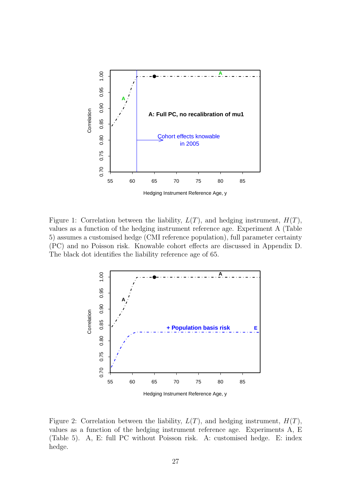

Figure 1: Correlation between the liability,  $L(T)$ , and hedging instrument,  $H(T)$ , values as a function of the hedging instrument reference age. Experiment A (Table 5) assumes a customised hedge (CMI reference population), full parameter certainty (PC) and no Poisson risk. Knowable cohort effects are discussed in Appendix D. The black dot identifies the liability reference age of 65.



Figure 2: Correlation between the liability,  $L(T)$ , and hedging instrument,  $H(T)$ , values as a function of the hedging instrument reference age. Experiments A, E (Table 5). A, E: full PC without Poisson risk. A: customised hedge. E: index hedge.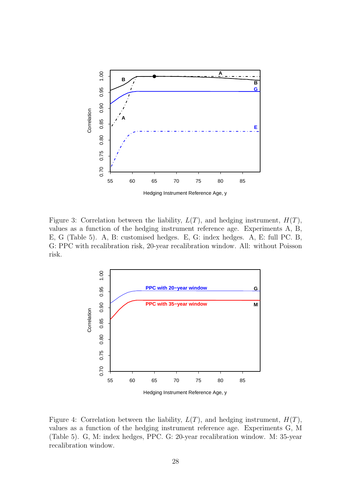

Figure 3: Correlation between the liability,  $L(T)$ , and hedging instrument,  $H(T)$ , values as a function of the hedging instrument reference age. Experiments A, B, E, G (Table 5). A, B: customised hedges. E, G: index hedges. A, E: full PC. B, G: PPC with recalibration risk, 20-year recalibration window. All: without Poisson risk.



Figure 4: Correlation between the liability,  $L(T)$ , and hedging instrument,  $H(T)$ , values as a function of the hedging instrument reference age. Experiments G, M (Table 5). G, M: index hedges, PPC. G: 20-year recalibration window. M: 35-year recalibration window.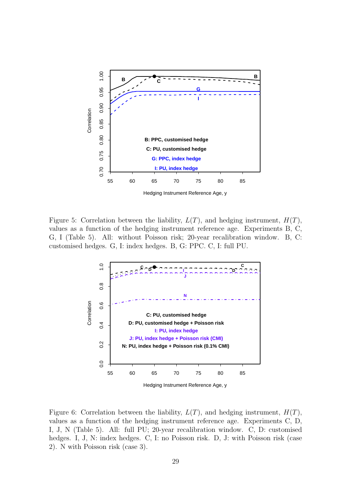

Figure 5: Correlation between the liability, *L*(*T*), and hedging instrument, *H*(*T*), values as a function of the hedging instrument reference age. Experiments B, C, G, I (Table 5). All: without Poisson risk; 20-year recalibration window. B, C: customised hedges. G, I: index hedges. B, G: PPC. C, I: full PU.



Figure 6: Correlation between the liability,  $L(T)$ , and hedging instrument,  $H(T)$ , values as a function of the hedging instrument reference age. Experiments C, D, I, J, N (Table 5). All: full PU; 20-year recalibration window. C, D: customised hedges. I, J, N: index hedges. C, I: no Poisson risk. D, J: with Poisson risk (case 2). N with Poisson risk (case 3).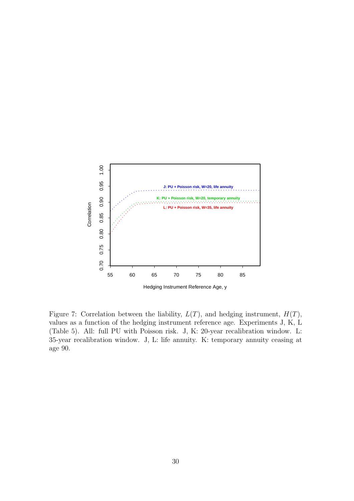

Figure 7: Correlation between the liability,  $L(T)$ , and hedging instrument,  $H(T)$ , values as a function of the hedging instrument reference age. Experiments J, K, L (Table 5). All: full PU with Poisson risk. J, K: 20-year recalibration window. L: 35-year recalibration window. J, L: life annuity. K: temporary annuity ceasing at age 90.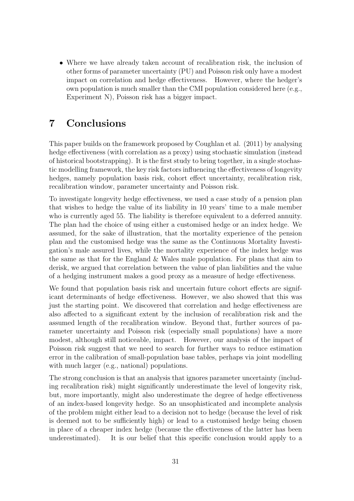• Where we have already taken account of recalibration risk, the inclusion of other forms of parameter uncertainty (PU) and Poisson risk only have a modest impact on correlation and hedge effectiveness. However, where the hedger's own population is much smaller than the CMI population considered here (e.g., Experiment N), Poisson risk has a bigger impact.

# **7 Conclusions**

This paper builds on the framework proposed by Coughlan et al. (2011) by analysing hedge effectiveness (with correlation as a proxy) using stochastic simulation (instead of historical bootstrapping). It is the first study to bring together, in a single stochastic modelling framework, the key risk factors influencing the effectiveness of longevity hedges, namely population basis risk, cohort effect uncertainty, recalibration risk, recalibration window, parameter uncertainty and Poisson risk.

To investigate longevity hedge effectiveness, we used a case study of a pension plan that wishes to hedge the value of its liability in 10 years' time to a male member who is currently aged 55. The liability is therefore equivalent to a deferred annuity. The plan had the choice of using either a customised hedge or an index hedge. We assumed, for the sake of illustration, that the mortality experience of the pension plan and the customised hedge was the same as the Continuous Mortality Investigation's male assured lives, while the mortality experience of the index hedge was the same as that for the England & Wales male population. For plans that aim to derisk, we argued that correlation between the value of plan liabilities and the value of a hedging instrument makes a good proxy as a measure of hedge effectiveness.

We found that population basis risk and uncertain future cohort effects are significant determinants of hedge effectiveness. However, we also showed that this was just the starting point. We discovered that correlation and hedge effectiveness are also affected to a significant extent by the inclusion of recalibration risk and the assumed length of the recalibration window. Beyond that, further sources of parameter uncertainty and Poisson risk (especially small populations) have a more modest, although still noticeable, impact. However, our analysis of the impact of Poisson risk suggest that we need to search for further ways to reduce estimation error in the calibration of small-population base tables, perhaps via joint modelling with much larger (e.g., national) populations.

The strong conclusion is that an analysis that ignores parameter uncertainty (including recalibration risk) might significantly underestimate the level of longevity risk, but, more importantly, might also underestimate the degree of hedge effectiveness of an index-based longevity hedge. So an unsophisticated and incomplete analysis of the problem might either lead to a decision not to hedge (because the level of risk is deemed not to be sufficiently high) or lead to a customised hedge being chosen in place of a cheaper index hedge (because the effectiveness of the latter has been underestimated). It is our belief that this specific conclusion would apply to a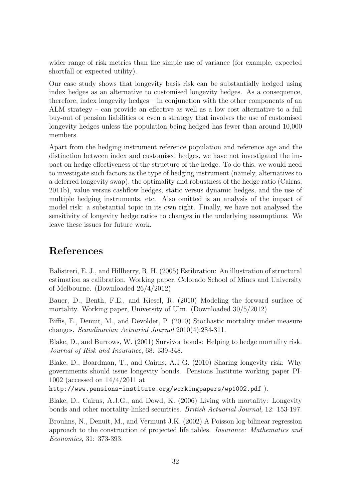wider range of risk metrics than the simple use of variance (for example, expected shortfall or expected utility).

Our case study shows that longevity basis risk can be substantially hedged using index hedges as an alternative to customised longevity hedges. As a consequence, therefore, index longevity hedges – in conjunction with the other components of an ALM strategy – can provide an effective as well as a low cost alternative to a full buy-out of pension liabilities or even a strategy that involves the use of customised longevity hedges unless the population being hedged has fewer than around 10,000 members.

Apart from the hedging instrument reference population and reference age and the distinction between index and customised hedges, we have not investigated the impact on hedge effectiveness of the structure of the hedge. To do this, we would need to investigate such factors as the type of hedging instrument (namely, alternatives to a deferred longevity swap), the optimality and robustness of the hedge ratio (Cairns, 2011b), value versus cashflow hedges, static versus dynamic hedges, and the use of multiple hedging instruments, etc. Also omitted is an analysis of the impact of model risk: a substantial topic in its own right. Finally, we have not analysed the sensitivity of longevity hedge ratios to changes in the underlying assumptions. We leave these issues for future work.

# **References**

Balistreri, E. J., and Hillberry, R. H. (2005) Estibration: An illustration of structural estimation as calibration. Working paper, Colorado School of Mines and University of Melbourne. (Downloaded 26/4/2012)

Bauer, D., Benth, F.E., and Kiesel, R. (2010) Modeling the forward surface of mortality. Working paper, University of Ulm. (Downloaded 30/5/2012)

Biffis, E., Denuit, M., and Devolder, P. (2010) Stochastic mortality under measure changes. *Scandinavian Actuarial Journal* 2010(4):284-311.

Blake, D., and Burrows, W. (2001) Survivor bonds: Helping to hedge mortality risk. *Journal of Risk and Insurance*, 68: 339-348.

Blake, D., Boardman, T., and Cairns, A.J.G. (2010) Sharing longevity risk: Why governments should issue longevity bonds. Pensions Institute working paper PI-1002 (accessed on 14/4/2011 at

http://www.pensions-institute.org/workingpapers/wp1002.pdf ).

Blake, D., Cairns, A.J.G., and Dowd, K. (2006) Living with mortality: Longevity bonds and other mortality-linked securities. *British Actuarial Journal*, 12: 153-197.

Brouhns, N., Denuit, M., and Vermunt J.K. (2002) A Poisson log-bilinear regression approach to the construction of projected life tables. *Insurance: Mathematics and Economics*, 31: 373-393.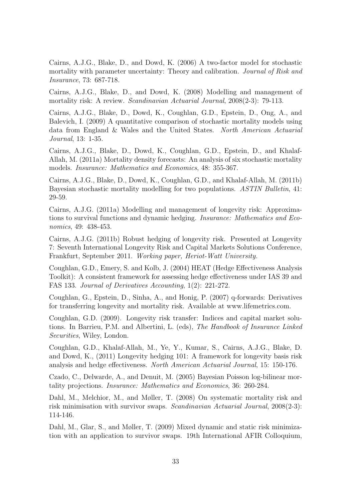Cairns, A.J.G., Blake, D., and Dowd, K. (2006) A two-factor model for stochastic mortality with parameter uncertainty: Theory and calibration. *Journal of Risk and Insurance*, 73: 687-718.

Cairns, A.J.G., Blake, D., and Dowd, K. (2008) Modelling and management of mortality risk: A review. *Scandinavian Actuarial Journal*, 2008(2-3): 79-113.

Cairns, A.J.G., Blake, D., Dowd, K., Coughlan, G.D., Epstein, D., Ong, A., and Balevich, I. (2009) A quantitative comparison of stochastic mortality models using data from England & Wales and the United States. *North American Actuarial Journal*, 13: 1-35.

Cairns, A.J.G., Blake, D., Dowd, K., Coughlan, G.D., Epstein, D., and Khalaf-Allah, M. (2011a) Mortality density forecasts: An analysis of six stochastic mortality models. *Insurance: Mathematics and Economics*, 48: 355-367.

Cairns, A.J.G., Blake, D., Dowd, K., Coughlan, G.D., and Khalaf-Allah, M. (2011b) Bayesian stochastic mortality modelling for two populations. *ASTIN Bulletin*, 41: 29-59.

Cairns, A.J.G. (2011a) Modelling and management of longevity risk: Approximations to survival functions and dynamic hedging. *Insurance: Mathematics and Economics*, 49: 438-453.

Cairns, A.J.G. (2011b) Robust hedging of longevity risk. Presented at Longevity 7: Seventh International Longevity Risk and Capital Markets Solutions Conference, Frankfurt, September 2011. *Working paper, Heriot-Watt University.*

Coughlan, G.D., Emery, S. and Kolb, J. (2004) HEAT (Hedge Effectiveness Analysis Toolkit): A consistent framework for assessing hedge effectiveness under IAS 39 and FAS 133. *Journal of Derivatives Accounting*, 1(2): 221-272.

Coughlan, G., Epstein, D., Sinha, A., and Honig, P. (2007) q-forwards: Derivatives for transferring longevity and mortality risk. Available at www.lifemetrics.com.

Coughlan, G.D. (2009). Longevity risk transfer: Indices and capital market solutions. In Barrieu, P.M. and Albertini, L. (eds), *The Handbook of Insurance Linked Securities*, Wiley, London.

Coughlan, G.D., Khalaf-Allah, M., Ye, Y., Kumar, S., Cairns, A.J.G., Blake, D. and Dowd, K., (2011) Longevity hedging 101: A framework for longevity basis risk analysis and hedge effectiveness. *North American Actuarial Journal*, 15: 150-176.

Czado, C., Delwarde, A., and Denuit, M. (2005) Bayesian Poisson log-bilinear mortality projections. *Insurance: Mathematics and Economics*, 36: 260-284.

Dahl, M., Melchior, M., and Møller, T. (2008) On systematic mortality risk and risk minimisation with survivor swaps. *Scandinavian Actuarial Journal*, 2008(2-3): 114-146.

Dahl, M., Glar, S., and Møller, T. (2009) Mixed dynamic and static risk minimization with an application to survivor swaps. 19th International AFIR Colloquium,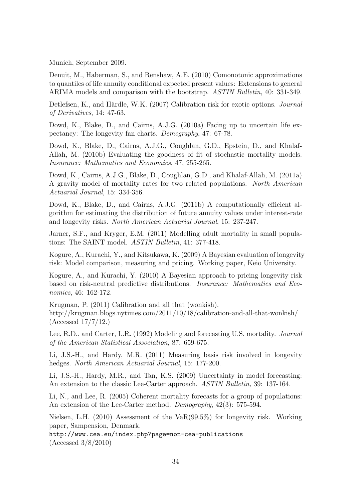Munich, September 2009.

Denuit, M., Haberman, S., and Renshaw, A.E. (2010) Comonotonic approximations to quantiles of life annuity conditional expected present values: Extensions to general ARIMA models and comparison with the bootstrap. *ASTIN Bulletin*, 40: 331-349.

Detlefsen, K., and Härdle, W.K. (2007) Calibration risk for exotic options. *Journal of Derivatives*, 14: 47-63.

Dowd, K., Blake, D., and Cairns, A.J.G. (2010a) Facing up to uncertain life expectancy: The longevity fan charts. *Demography*, 47: 67-78.

Dowd, K., Blake, D., Cairns, A.J.G., Coughlan, G.D., Epstein, D., and Khalaf-Allah, M. (2010b) Evaluating the goodness of fit of stochastic mortality models. *Insurance: Mathematics and Economics*, 47, 255-265.

Dowd, K., Cairns, A.J.G., Blake, D., Coughlan, G.D., and Khalaf-Allah, M. (2011a) A gravity model of mortality rates for two related populations. *North American Actuarial Journal*, 15: 334-356.

Dowd, K., Blake, D., and Cairns, A.J.G. (2011b) A computationally efficient algorithm for estimating the distribution of future annuity values under interest-rate and longevity risks. *North American Actuarial Journal*, 15: 237-247.

Jarner, S.F., and Kryger, E.M. (2011) Modelling adult mortality in small populations: The SAINT model. *ASTIN Bulletin*, 41: 377-418.

Kogure, A., Kurachi, Y., and Kitsukawa, K. (2009) A Bayesian evaluation of longevity risk: Model comparison, measuring and pricing. Working paper, Keio University.

Kogure, A., and Kurachi, Y. (2010) A Bayesian approach to pricing longevity risk based on risk-neutral predictive distributions. *Insurance: Mathematics and Economics*, 46: 162-172.

Krugman, P. (2011) Calibration and all that (wonkish). http://krugman.blogs.nytimes.com/2011/10/18/calibration-and-all-that-wonkish/ (Accessed 17/7/12.)

Lee, R.D., and Carter, L.R. (1992) Modeling and forecasting U.S. mortality. *Journal of the American Statistical Association*, 87: 659-675.

Li, J.S.-H., and Hardy, M.R. (2011) Measuring basis risk involved in longevity hedges. *North American Actuarial Journal*, 15: 177-200.

Li, J.S.-H., Hardy, M.R., and Tan, K.S. (2009) Uncertainty in model forecasting: An extension to the classic Lee-Carter approach. *ASTIN Bulletin,* 39: 137-164.

Li, N., and Lee, R. (2005) Coherent mortality forecasts for a group of populations: An extension of the Lee-Carter method. *Demography*, 42(3): 575-594.

Nielsen, L.H. (2010) Assessment of the VaR(99.5%) for longevity risk. Working paper, Sampension, Denmark.

http://www.cea.eu/index.php?page=non-cea-publications (Accessed 3/8/2010)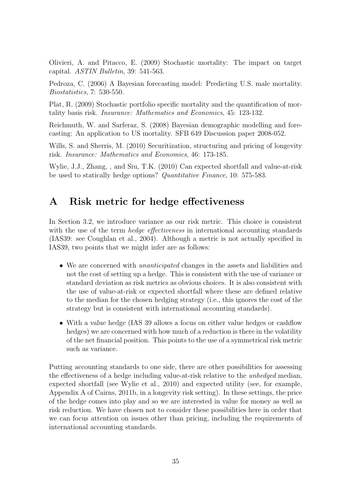Olivieri, A. and Pitacco, E. (2009) Stochastic mortality: The impact on target capital. *ASTIN Bulletin*, 39: 541-563.

Pedroza, C. (2006) A Bayesian forecasting model: Predicting U.S. male mortality. *Biostatistics*, 7: 530-550.

Plat, R. (2009) Stochastic portfolio specific mortality and the quantification of mortality basis risk. *Insurance: Mathematics and Economics*, 45: 123-132.

Reichmuth, W. and Sarferaz, S. (2008) Bayesian demographic modelling and forecasting: An application to US mortality. SFB 649 Discussion paper 2008-052.

Wills, S. and Sherris, M. (2010) Securitization, structuring and pricing of longevity risk. *Insurance: Mathematics and Economics*, 46: 173-185.

Wylie, J.J., Zhang, , and Siu, T.K. (2010) Can expected shortfall and value-at-risk be used to statically hedge options? *Quantitative Finance*, 10: 575-583.

## **A Risk metric for hedge effectiveness**

In Section 3.2, we introduce variance as our risk metric. This choice is consistent with the use of the term *hedge effectiveness* in international accounting standards (IAS39: see Coughlan et al., 2004). Although a metric is not actually specified in IAS39, two points that we might infer are as follows:

- *•* We are concerned with *unanticipated* changes in the assets and liabilities and not the cost of setting up a hedge. This is consistent with the use of variance or standard deviation as risk metrics as obvious choices. It is also consistent with the use of value-at-risk or expected shortfall where these are defined relative to the median for the chosen hedging strategy (i.e., this ignores the cost of the strategy but is consistent with international accounting standards).
- With a value hedge (IAS 39 allows a focus on either value hedges or cashflow hedges) we are concerned with how much of a reduction is there in the volatility of the net financial position. This points to the use of a symmetrical risk metric such as variance.

Putting accounting standards to one side, there are other possibilities for assessing the effectiveness of a hedge including value-at-risk relative to the *unhedged* median, expected shortfall (see Wylie et al., 2010) and expected utility (see, for example, Appendix A of Cairns, 2011b, in a longevity risk setting). In these settings, the price of the hedge comes into play and so we are interested in value for money as well as risk reduction. We have chosen not to consider these possibilities here in order that we can focus attention on issues other than pricing, including the requirements of international accounting standards.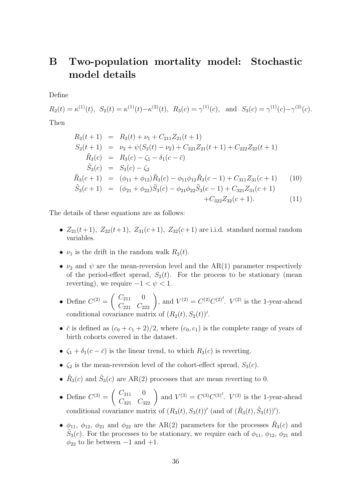# **B Two-population mortality model: Stochastic model details**

Define

 $R_2(t) = \kappa^{(1)}(t), S_2(t) = \kappa^{(1)}(t) - \kappa^{(2)}(t), R_3(c) = \gamma^{(1)}(c), \text{ and } S_3(c) = \gamma^{(1)}(c) - \gamma^{(2)}(c).$ Then

$$
R_2(t+1) = R_2(t) + \nu_1 + C_{211}Z_{21}(t+1)
$$
  
\n
$$
S_2(t+1) = \nu_2 + \psi(S_2(t) - \nu_2) + C_{221}Z_{21}(t+1) + C_{222}Z_{22}(t+1)
$$
  
\n
$$
\tilde{R}_3(c) = R_3(c) - \zeta_1 - \delta_1(c - \bar{c})
$$
  
\n
$$
\tilde{S}_3(c) = S_3(c) - \zeta_2
$$
  
\n
$$
\tilde{R}_3(c+1) = (\phi_{11} + \phi_{12})\tilde{R}_3(c) - \phi_{11}\phi_{12}\tilde{R}_3(c-1) + C_{311}Z_{31}(c+1)
$$
  
\n
$$
\tilde{S}_3(c+1) = (\phi_{21} + \phi_{22})\tilde{S}_3(c) - \phi_{21}\phi_{22}\tilde{S}_3(c-1) + C_{321}Z_{31}(c+1)
$$
  
\n
$$
+ C_{322}Z_{32}(c+1).
$$
\n(11)

The details of these equations are as follows:

- $Z_{21}(t+1)$ *,*  $Z_{22}(t+1)$ *,*  $Z_{31}(c+1)$ *,*  $Z_{32}(c+1)$  are i.i.d. standard normal random variables.
- $\nu_1$  is the drift in the random walk  $R_2(t)$ .
- $\nu_2$  and  $\psi$  are the mean-reversion level and the AR(1) parameter respectively of the period-effect spread,  $S_2(t)$ . For the process to be stationary (mean reverting), we require  $-1 < \psi < 1$ .
- Define  $C^{(2)} =$  $\left( \begin{array}{cc} C_{211} & 0 \\ C_{221} & C_{222} \end{array} \right)$ , and  $V^{(2)} = C^{(2)}C^{(2)'}$ .  $V^{(2)}$  is the 1-year-ahead conditional covariance matrix of  $(R_2(t), S_2(t))'$ .
- $\bar{c}$  is defined as  $(c_0 + c_1 + 2)/2$ , where  $(c_0, c_1)$  is the complete range of years of birth cohorts covered in the dataset.
- $\zeta_1 + \delta_1(c \bar{c})$  is the linear trend, to which  $R_3(c)$  is reverting.
- $\zeta_2$  is the mean-reversion level of the cohort-effect spread,  $S_3(c)$ .
- $\tilde{R}_3(c)$  and  $\tilde{S}_3(c)$  are AR(2) processes that are mean reverting to 0.
- Define  $C^{(3)} =$  $\left( \begin{array}{cc} C_{311} & 0 \\ C_{321} & C_{322} \end{array} \right)$ and  $V^{(3)} = C^{(3)}C^{(3)'}.$   $V^{(3)}$  is the 1-year-ahead conditional covariance matrix of  $(R_3(t), S_3(t))'$  (and of  $(\tilde{R}_3(t), \tilde{S}_3(t))'$ ).
- $\phi_{11}, \phi_{12}, \phi_{21}$  and  $\phi_{22}$  are the AR(2) parameters for the processes  $R_3(c)$  and  $\widetilde{S}_3(c)$ . For the processes to be stationary, we require each of  $\phi_{11}$ ,  $\phi_{12}$ ,  $\phi_{21}$  and *ϕ*<sup>22</sup> to lie between *−*1 and +1.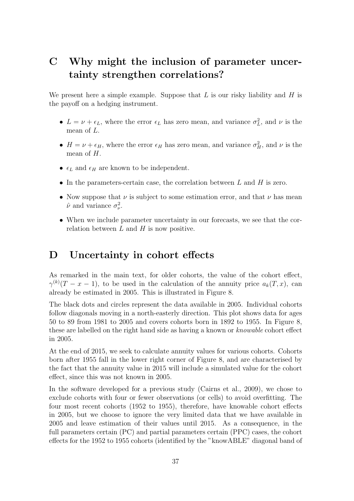# **C Why might the inclusion of parameter uncertainty strengthen correlations?**

We present here a simple example. Suppose that *L* is our risky liability and *H* is the payoff on a hedging instrument.

- $L = \nu + \epsilon_L$ , where the error  $\epsilon_L$  has zero mean, and variance  $\sigma_L^2$ , and  $\nu$  is the mean of *L*.
- $H = \nu + \epsilon_H$ , where the error  $\epsilon_H$  has zero mean, and variance  $\sigma_H^2$ , and  $\nu$  is the mean of *H*.
- $\epsilon_L$  and  $\epsilon_H$  are known to be independent.
- *•* In the parameters-certain case, the correlation between *L* and *H* is zero.
- *•* Now suppose that *ν* is subject to some estimation error, and that *ν* has mean  $\hat{\nu}$  and variance  $\sigma_{\nu}^2$ .
- When we include parameter uncertainty in our forecasts, we see that the correlation between *L* and *H* is now positive.

# **D Uncertainty in cohort effects**

As remarked in the main text, for older cohorts, the value of the cohort effect,  $\gamma^{(k)}(T-x-1)$ , to be used in the calculation of the annuity price  $a_k(T,x)$ , can already be estimated in 2005. This is illustrated in Figure 8.

The black dots and circles represent the data available in 2005. Individual cohorts follow diagonals moving in a north-easterly direction. This plot shows data for ages 50 to 89 from 1981 to 2005 and covers cohorts born in 1892 to 1955. In Figure 8, these are labelled on the right hand side as having a known or *knowable* cohort effect in 2005.

At the end of 2015, we seek to calculate annuity values for various cohorts. Cohorts born after 1955 fall in the lower right corner of Figure 8, and are characterised by the fact that the annuity value in 2015 will include a simulated value for the cohort effect, since this was not known in 2005.

In the software developed for a previous study (Cairns et al., 2009), we chose to exclude cohorts with four or fewer observations (or cells) to avoid overfitting. The four most recent cohorts (1952 to 1955), therefore, have knowable cohort effects in 2005, but we choose to ignore the very limited data that we have available in 2005 and leave estimation of their values until 2015. As a consequence, in the full parameters certain (PC) and partial parameters certain (PPC) cases, the cohort effects for the 1952 to 1955 cohorts (identified by the "knowABLE" diagonal band of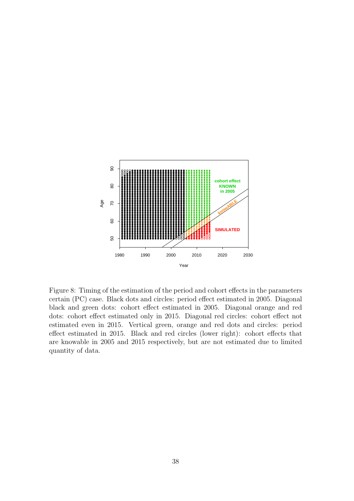

Figure 8: Timing of the estimation of the period and cohort effects in the parameters certain (PC) case. Black dots and circles: period effect estimated in 2005. Diagonal black and green dots: cohort effect estimated in 2005. Diagonal orange and red dots: cohort effect estimated only in 2015. Diagonal red circles: cohort effect not estimated even in 2015. Vertical green, orange and red dots and circles: period effect estimated in 2015. Black and red circles (lower right): cohort effects that are knowable in 2005 and 2015 respectively, but are not estimated due to limited quantity of data.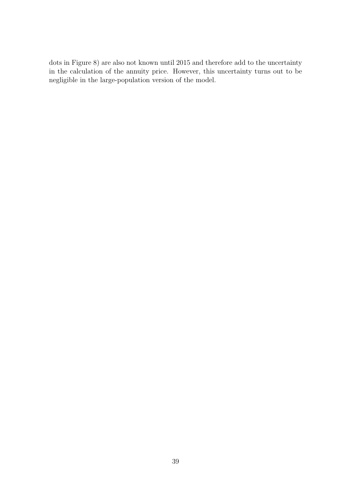dots in Figure 8) are also not known until 2015 and therefore add to the uncertainty in the calculation of the annuity price. However, this uncertainty turns out to be negligible in the large-population version of the model.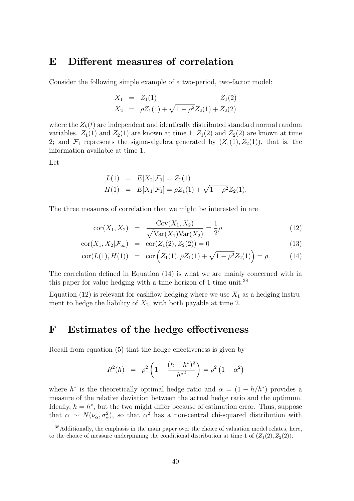#### **E Different measures of correlation**

Consider the following simple example of a two-period, two-factor model:

$$
X_1 = Z_1(1) + Z_1(2)
$$
  
\n
$$
X_2 = \rho Z_1(1) + \sqrt{1 - \rho^2} Z_2(1) + Z_2(2)
$$

where the  $Z_k(t)$  are independent and identically distributed standard normal random variables.  $Z_1(1)$  and  $Z_2(1)$  are known at time 1;  $Z_1(2)$  and  $Z_2(2)$  are known at time 2; and  $\mathcal{F}_1$  represents the sigma-algebra generated by  $(Z_1(1), Z_2(1))$ , that is, the information available at time 1.

Let

$$
L(1) = E[X_2|\mathcal{F}_1] = Z_1(1)
$$
  
\n
$$
H(1) = E[X_1|\mathcal{F}_1] = \rho Z_1(1) + \sqrt{1 - \rho^2} Z_2(1).
$$

The three measures of correlation that we might be interested in are

$$
cor(X_1, X_2) = \frac{Cov(X_1, X_2)}{\sqrt{Var(X_1)Var(X_2)}} = \frac{1}{2}\rho
$$
\n(12)

$$
cor(X_1, X_2 | \mathcal{F}_\infty) = cor(Z_1(2), Z_2(2)) = 0
$$
\n(13)

$$
cor(L(1), H(1)) = cor\left(Z_1(1), \rho Z_1(1) + \sqrt{1 - \rho^2} Z_2(1)\right) = \rho.
$$
 (14)

The correlation defined in Equation (14) is what we are mainly concerned with in this paper for value hedging with a time horizon of 1 time unit.<sup>38</sup>

Equation (12) is relevant for cashflow hedging where we use  $X_1$  as a hedging instrument to hedge the liability of  $X_2$ , with both payable at time 2.

#### **F Estimates of the hedge effectiveness**

Recall from equation (5) that the hedge effectiveness is given by

$$
R^{2}(h) = \rho^{2} \left( 1 - \frac{(h - h^{*})^{2}}{h^{*2}} \right) = \rho^{2} \left( 1 - \alpha^{2} \right)
$$

where  $h^*$  is the theoretically optimal hedge ratio and  $\alpha = (1 - h/h^*)$  provides a measure of the relative deviation between the actual hedge ratio and the optimum. Ideally,  $h = h^*$ , but the two might differ because of estimation error. Thus, suppose that  $\alpha \sim N(\nu_{\alpha}, \sigma_{\alpha}^2)$ , so that  $\alpha^2$  has a non-central chi-squared distribution with

<sup>&</sup>lt;sup>38</sup>Additionally, the emphasis in the main paper over the choice of valuation model relates, here, to the choice of measure underpinning the conditional distribution at time 1 of  $(Z_1(2), Z_2(2))$ .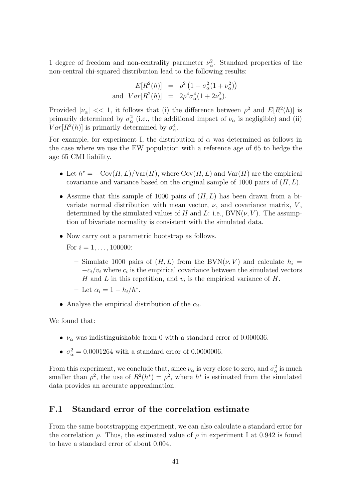1 degree of freedom and non-centrality parameter  $\nu_{\alpha}^2$ . Standard properties of the non-central chi-squared distribution lead to the following results:

$$
E[R^{2}(h)] = \rho^{2} (1 - \sigma_{\alpha}^{2} (1 + \nu_{\alpha}^{2}))
$$
  
and  $Var[R^{2}(h)] = 2\rho^{4} \sigma_{\alpha}^{4} (1 + 2\nu_{\alpha}^{2}).$ 

Provided  $|\nu_{\alpha}| \ll 1$ , it follows that (i) the difference between  $\rho^2$  and  $E[R^2(h)]$  is primarily determined by  $\sigma_{\alpha}^{2}$  (i.e., the additional impact of  $\nu_{\alpha}$  is negligible) and (ii)  $Var[R^2(h)]$  is primarily determined by  $\sigma_{\alpha}^4$ .

For example, for experiment I, the distribution of  $\alpha$  was determined as follows in the case where we use the EW population with a reference age of 65 to hedge the age 65 CMI liability.

- Let  $h^* = -\text{Cov}(H, L)/\text{Var}(H)$ , where  $\text{Cov}(H, L)$  and  $\text{Var}(H)$  are the empirical covariance and variance based on the original sample of 1000 pairs of (*H, L*).
- *•* Assume that this sample of 1000 pairs of (*H, L*) has been drawn from a bivariate normal distribution with mean vector,  $\nu$ , and covariance matrix,  $V$ , determined by the simulated values of *H* and *L*: i.e.,  $\text{BVN}(\nu, V)$ . The assumption of bivariate normality is consistent with the simulated data.
- Now carry out a parametric bootstrap as follows.

For *i* = 1*, . . . ,* 100000:

- Simulate 1000 pairs of  $(H, L)$  from the BVN( $\nu, V$ ) and calculate  $h_i$  =  $-c_i/v_i$  where  $c_i$  is the empirical covariance between the simulated vectors *H* and *L* in this repetition, and  $v_i$  is the empirical variance of *H*.
- $-$  Let  $\alpha_i = 1 h_i/h^*$ .
- *•* Analyse the empirical distribution of the *α<sup>i</sup>* .

We found that:

- $\nu_{\alpha}$  was indistinguishable from 0 with a standard error of 0.000036.
- $\sigma_{\alpha}^{2} = 0.0001264$  with a standard error of 0.0000006.

From this experiment, we conclude that, since  $\nu_{\alpha}$  is very close to zero, and  $\sigma_{\alpha}^2$  is much smaller than  $\rho^2$ , the use of  $R^2(h^*) = \rho^2$ , where  $h^*$  is estimated from the simulated data provides an accurate approximation.

#### **F.1 Standard error of the correlation estimate**

From the same bootstrapping experiment, we can also calculate a standard error for the correlation  $\rho$ . Thus, the estimated value of  $\rho$  in experiment I at 0.942 is found to have a standard error of about 0.004.